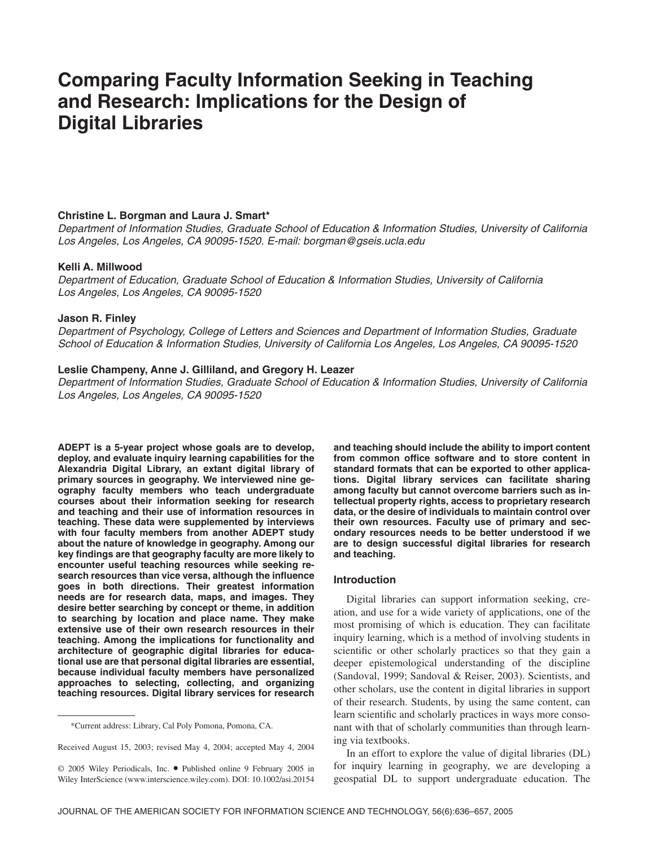# **Comparing Faculty Information Seeking in Teaching and Research: Implications for the Design of Digital Libraries**

## **Christine L. Borgman and Laura J. Smart\***

Department of Information Studies, Graduate School of Education & Information Studies, University of California Los Angeles, Los Angeles, CA 90095-1520. E-mail: borgman@gseis.ucla.edu

## **Kelli A. Millwood**

Department of Education, Graduate School of Education & Information Studies, University of California Los Angeles, Los Angeles, CA 90095-1520

## **Jason R. Finley**

Department of Psychology, College of Letters and Sciences and Department of Information Studies, Graduate School of Education & Information Studies, University of California Los Angeles, Los Angeles, CA 90095-1520

## **Leslie Champeny, Anne J. Gilliland, and Gregory H. Leazer**

Department of Information Studies, Graduate School of Education & Information Studies, University of California Los Angeles, Los Angeles, CA 90095-1520

**ADEPT is a 5-year project whose goals are to develop, deploy, and evaluate inquiry learning capabilities for the Alexandria Digital Library, an extant digital library of primary sources in geography. We interviewed nine geography faculty members who teach undergraduate courses about their information seeking for research and teaching and their use of information resources in teaching. These data were supplemented by interviews with four faculty members from another ADEPT study about the nature of knowledge in geography. Among our key findings are that geography faculty are more likely to encounter useful teaching resources while seeking research resources than vice versa, although the influence goes in both directions. Their greatest information needs are for research data, maps, and images. They desire better searching by concept or theme, in addition to searching by location and place name. They make extensive use of their own research resources in their teaching. Among the implications for functionality and architecture of geographic digital libraries for educational use are that personal digital libraries are essential, because individual faculty members have personalized approaches to selecting, collecting, and organizing teaching resources. Digital library services for research**

**and teaching should include the ability to import content from common office software and to store content in standard formats that can be exported to other applications. Digital library services can facilitate sharing among faculty but cannot overcome barriers such as intellectual property rights, access to proprietary research data, or the desire of individuals to maintain control over their own resources. Faculty use of primary and secondary resources needs to be better understood if we are to design successful digital libraries for research and teaching.**

## **Introduction**

Digital libraries can support information seeking, creation, and use for a wide variety of applications, one of the most promising of which is education. They can facilitate inquiry learning, which is a method of involving students in scientific or other scholarly practices so that they gain a deeper epistemological understanding of the discipline (Sandoval, 1999; Sandoval & Reiser, 2003). Scientists, and other scholars, use the content in digital libraries in support of their research. Students, by using the same content, can learn scientific and scholarly practices in ways more consonant with that of scholarly communities than through learning via textbooks.

In an effort to explore the value of digital libraries (DL) for inquiry learning in geography, we are developing a geospatial DL to support undergraduate education. The

<sup>\*</sup>Current address: Library, Cal Poly Pomona, Pomona, CA.

Received August 15, 2003; revised May 4, 2004; accepted May 4, 2004

<sup>© 2005</sup> Wiley Periodicals, Inc. • Published online 9 February 2005 in Wiley InterScience (www.interscience.wiley.com). DOI: 10.1002/asi.20154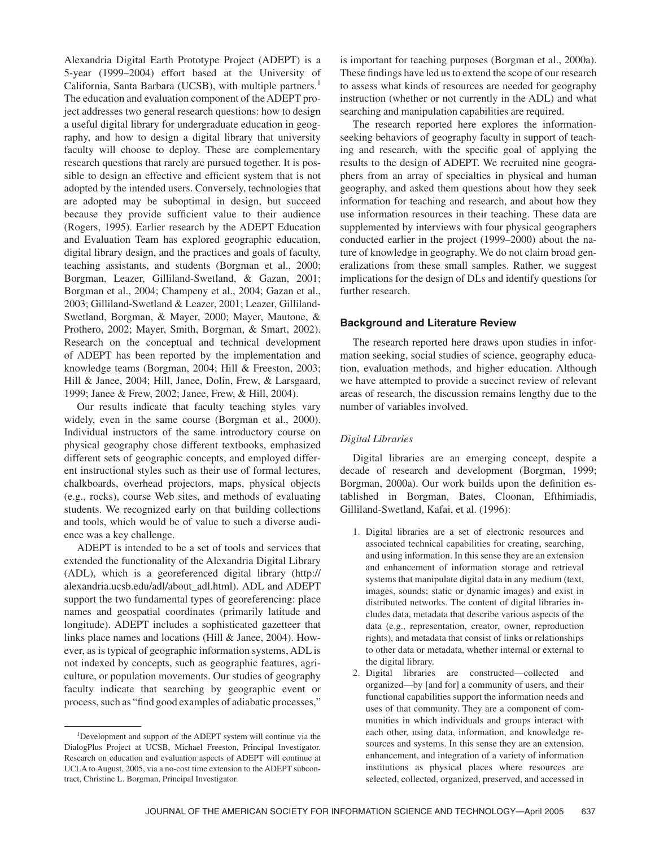Alexandria Digital Earth Prototype Project (ADEPT) is a 5-year (1999–2004) effort based at the University of California, Santa Barbara (UCSB), with multiple partners.<sup>1</sup> The education and evaluation component of the ADEPT project addresses two general research questions: how to design a useful digital library for undergraduate education in geography, and how to design a digital library that university faculty will choose to deploy. These are complementary research questions that rarely are pursued together. It is possible to design an effective and efficient system that is not adopted by the intended users. Conversely, technologies that are adopted may be suboptimal in design, but succeed because they provide sufficient value to their audience (Rogers, 1995). Earlier research by the ADEPT Education and Evaluation Team has explored geographic education, digital library design, and the practices and goals of faculty, teaching assistants, and students (Borgman et al., 2000; Borgman, Leazer, Gilliland-Swetland, & Gazan, 2001; Borgman et al., 2004; Champeny et al., 2004; Gazan et al., 2003; Gilliland-Swetland & Leazer, 2001; Leazer, Gilliland-Swetland, Borgman, & Mayer, 2000; Mayer, Mautone, & Prothero, 2002; Mayer, Smith, Borgman, & Smart, 2002). Research on the conceptual and technical development of ADEPT has been reported by the implementation and knowledge teams (Borgman, 2004; Hill & Freeston, 2003; Hill & Janee, 2004; Hill, Janee, Dolin, Frew, & Larsgaard, 1999; Janee & Frew, 2002; Janee, Frew, & Hill, 2004).

Our results indicate that faculty teaching styles vary widely, even in the same course (Borgman et al., 2000). Individual instructors of the same introductory course on physical geography chose different textbooks, emphasized different sets of geographic concepts, and employed different instructional styles such as their use of formal lectures, chalkboards, overhead projectors, maps, physical objects (e.g., rocks), course Web sites, and methods of evaluating students. We recognized early on that building collections and tools, which would be of value to such a diverse audience was a key challenge.

ADEPT is intended to be a set of tools and services that extended the functionality of the Alexandria Digital Library (ADL), which is a georeferenced digital library (http:// alexandria.ucsb.edu/adl/about\_adl.html). ADL and ADEPT support the two fundamental types of georeferencing: place names and geospatial coordinates (primarily latitude and longitude). ADEPT includes a sophisticated gazetteer that links place names and locations (Hill & Janee, 2004). However, as is typical of geographic information systems, ADL is not indexed by concepts, such as geographic features, agriculture, or population movements. Our studies of geography faculty indicate that searching by geographic event or process, such as "find good examples of adiabatic processes,"

<sup>1</sup>Development and support of the ADEPT system will continue via the DialogPlus Project at UCSB, Michael Freeston, Principal Investigator. Research on education and evaluation aspects of ADEPT will continue at UCLA to August, 2005, via a no-cost time extension to the ADEPT subcontract, Christine L. Borgman, Principal Investigator.

is important for teaching purposes (Borgman et al., 2000a). These findings have led us to extend the scope of our research to assess what kinds of resources are needed for geography instruction (whether or not currently in the ADL) and what searching and manipulation capabilities are required.

The research reported here explores the informationseeking behaviors of geography faculty in support of teaching and research, with the specific goal of applying the results to the design of ADEPT. We recruited nine geographers from an array of specialties in physical and human geography, and asked them questions about how they seek information for teaching and research, and about how they use information resources in their teaching. These data are supplemented by interviews with four physical geographers conducted earlier in the project (1999–2000) about the nature of knowledge in geography. We do not claim broad generalizations from these small samples. Rather, we suggest implications for the design of DLs and identify questions for further research.

## **Background and Literature Review**

The research reported here draws upon studies in information seeking, social studies of science, geography education, evaluation methods, and higher education. Although we have attempted to provide a succinct review of relevant areas of research, the discussion remains lengthy due to the number of variables involved.

#### *Digital Libraries*

Digital libraries are an emerging concept, despite a decade of research and development (Borgman, 1999; Borgman, 2000a). Our work builds upon the definition established in Borgman, Bates, Cloonan, Efthimiadis, Gilliland-Swetland, Kafai, et al. (1996):

- 1. Digital libraries are a set of electronic resources and associated technical capabilities for creating, searching, and using information. In this sense they are an extension and enhancement of information storage and retrieval systems that manipulate digital data in any medium (text, images, sounds; static or dynamic images) and exist in distributed networks. The content of digital libraries includes data, metadata that describe various aspects of the data (e.g., representation, creator, owner, reproduction rights), and metadata that consist of links or relationships to other data or metadata, whether internal or external to the digital library.
- 2. Digital libraries are constructed—collected and organized—by [and for] a community of users, and their functional capabilities support the information needs and uses of that community. They are a component of communities in which individuals and groups interact with each other, using data, information, and knowledge resources and systems. In this sense they are an extension, enhancement, and integration of a variety of information institutions as physical places where resources are selected, collected, organized, preserved, and accessed in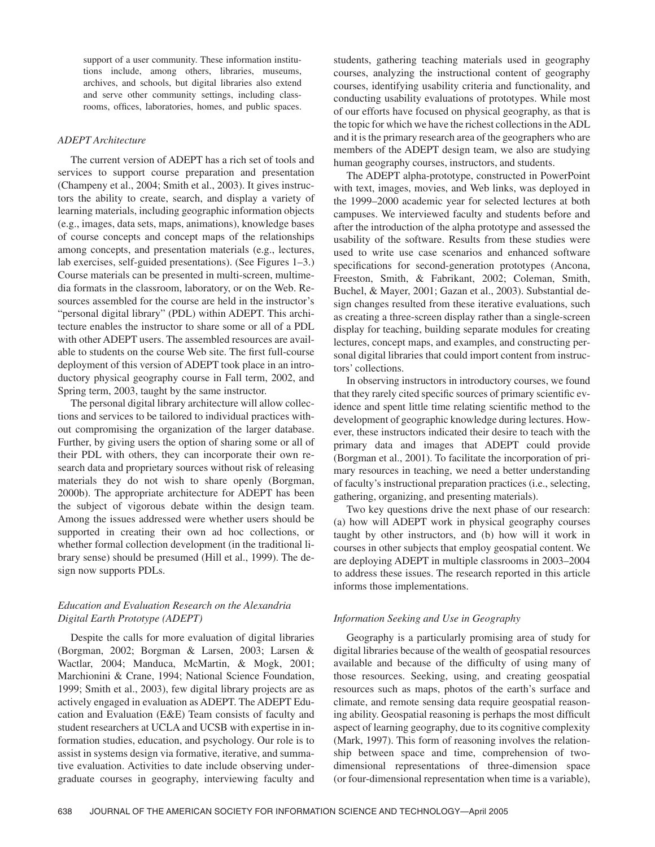support of a user community. These information institutions include, among others, libraries, museums, archives, and schools, but digital libraries also extend and serve other community settings, including classrooms, offices, laboratories, homes, and public spaces.

#### *ADEPT Architecture*

The current version of ADEPT has a rich set of tools and services to support course preparation and presentation (Champeny et al., 2004; Smith et al., 2003). It gives instructors the ability to create, search, and display a variety of learning materials, including geographic information objects (e.g., images, data sets, maps, animations), knowledge bases of course concepts and concept maps of the relationships among concepts, and presentation materials (e.g., lectures, lab exercises, self-guided presentations). (See Figures 1–3.) Course materials can be presented in multi-screen, multimedia formats in the classroom, laboratory, or on the Web. Resources assembled for the course are held in the instructor's "personal digital library" (PDL) within ADEPT. This architecture enables the instructor to share some or all of a PDL with other ADEPT users. The assembled resources are available to students on the course Web site. The first full-course deployment of this version of ADEPT took place in an introductory physical geography course in Fall term, 2002, and Spring term, 2003, taught by the same instructor.

The personal digital library architecture will allow collections and services to be tailored to individual practices without compromising the organization of the larger database. Further, by giving users the option of sharing some or all of their PDL with others, they can incorporate their own research data and proprietary sources without risk of releasing materials they do not wish to share openly (Borgman, 2000b). The appropriate architecture for ADEPT has been the subject of vigorous debate within the design team. Among the issues addressed were whether users should be supported in creating their own ad hoc collections, or whether formal collection development (in the traditional library sense) should be presumed (Hill et al., 1999). The design now supports PDLs.

## *Education and Evaluation Research on the Alexandria Digital Earth Prototype (ADEPT)*

Despite the calls for more evaluation of digital libraries (Borgman, 2002; Borgman & Larsen, 2003; Larsen & Wactlar, 2004; Manduca, McMartin, & Mogk, 2001; Marchionini & Crane, 1994; National Science Foundation, 1999; Smith et al., 2003), few digital library projects are as actively engaged in evaluation as ADEPT. The ADEPT Education and Evaluation (E&E) Team consists of faculty and student researchers at UCLA and UCSB with expertise in information studies, education, and psychology. Our role is to assist in systems design via formative, iterative, and summative evaluation. Activities to date include observing undergraduate courses in geography, interviewing faculty and

students, gathering teaching materials used in geography courses, analyzing the instructional content of geography courses, identifying usability criteria and functionality, and conducting usability evaluations of prototypes. While most of our efforts have focused on physical geography, as that is the topic for which we have the richest collections in theADL and it is the primary research area of the geographers who are members of the ADEPT design team, we also are studying human geography courses, instructors, and students.

The ADEPT alpha-prototype, constructed in PowerPoint with text, images, movies, and Web links, was deployed in the 1999–2000 academic year for selected lectures at both campuses. We interviewed faculty and students before and after the introduction of the alpha prototype and assessed the usability of the software. Results from these studies were used to write use case scenarios and enhanced software specifications for second-generation prototypes (Ancona, Freeston, Smith, & Fabrikant, 2002; Coleman, Smith, Buchel, & Mayer, 2001; Gazan et al., 2003). Substantial design changes resulted from these iterative evaluations, such as creating a three-screen display rather than a single-screen display for teaching, building separate modules for creating lectures, concept maps, and examples, and constructing personal digital libraries that could import content from instructors' collections.

In observing instructors in introductory courses, we found that they rarely cited specific sources of primary scientific evidence and spent little time relating scientific method to the development of geographic knowledge during lectures. However, these instructors indicated their desire to teach with the primary data and images that ADEPT could provide (Borgman et al., 2001). To facilitate the incorporation of primary resources in teaching, we need a better understanding of faculty's instructional preparation practices (i.e., selecting, gathering, organizing, and presenting materials).

Two key questions drive the next phase of our research: (a) how will ADEPT work in physical geography courses taught by other instructors, and (b) how will it work in courses in other subjects that employ geospatial content. We are deploying ADEPT in multiple classrooms in 2003–2004 to address these issues. The research reported in this article informs those implementations.

## *Information Seeking and Use in Geography*

Geography is a particularly promising area of study for digital libraries because of the wealth of geospatial resources available and because of the difficulty of using many of those resources. Seeking, using, and creating geospatial resources such as maps, photos of the earth's surface and climate, and remote sensing data require geospatial reasoning ability. Geospatial reasoning is perhaps the most difficult aspect of learning geography, due to its cognitive complexity (Mark, 1997). This form of reasoning involves the relationship between space and time, comprehension of twodimensional representations of three-dimension space (or four-dimensional representation when time is a variable),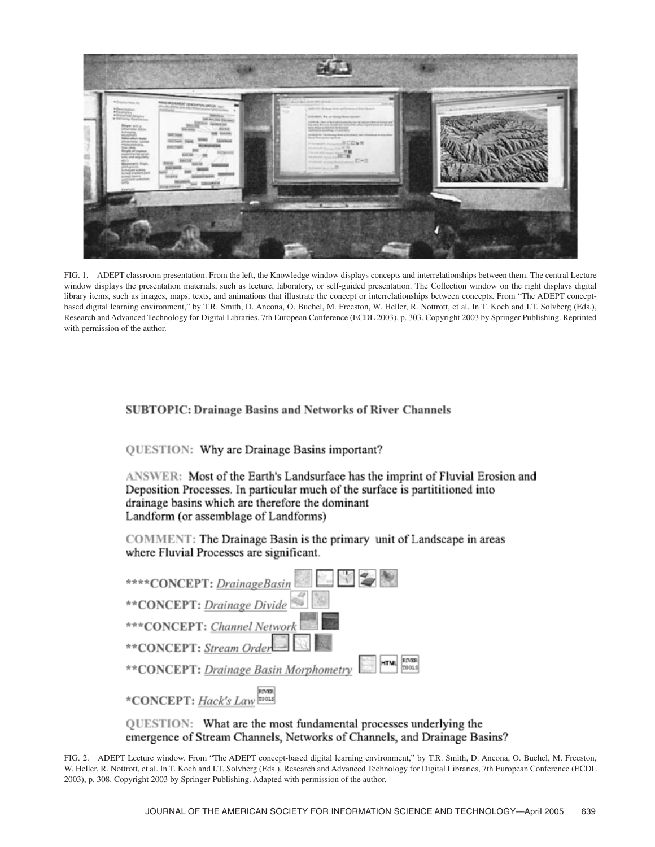

FIG. 1. ADEPT classroom presentation. From the left, the Knowledge window displays concepts and interrelationships between them. The central Lecture window displays the presentation materials, such as lecture, laboratory, or self-guided presentation. The Collection window on the right displays digital library items, such as images, maps, texts, and animations that illustrate the concept or interrelationships between concepts. From "The ADEPT conceptbased digital learning environment," by T.R. Smith, D. Ancona, O. Buchel, M. Freeston, W. Heller, R. Nottrott, et al. In T. Koch and I.T. Solvberg (Eds.), Research and Advanced Technology for Digital Libraries, 7th European Conference (ECDL 2003), p. 303. Copyright 2003 by Springer Publishing. Reprinted with permission of the author.

# **SUBTOPIC: Drainage Basins and Networks of River Channels**

# QUESTION: Why are Drainage Basins important?

ANSWER: Most of the Earth's Landsurface has the imprint of Fluvial Erosion and Deposition Processes. In particular much of the surface is partititioned into drainage basins which are therefore the dominant Landform (or assemblage of Landforms)

COMMENT: The Drainage Basin is the primary unit of Landscape in areas where Fluvial Processes are significant.



# QUESTION: What are the most fundamental processes underlying the emergence of Stream Channels, Networks of Channels, and Drainage Basins?

FIG. 2. ADEPT Lecture window. From "The ADEPT concept-based digital learning environment," by T.R. Smith, D. Ancona, O. Buchel, M. Freeston, W. Heller, R. Nottrott, et al. In T. Koch and I.T. Solvberg (Eds.), Research and Advanced Technology for Digital Libraries, 7th European Conference (ECDL 2003), p. 308. Copyright 2003 by Springer Publishing. Adapted with permission of the author.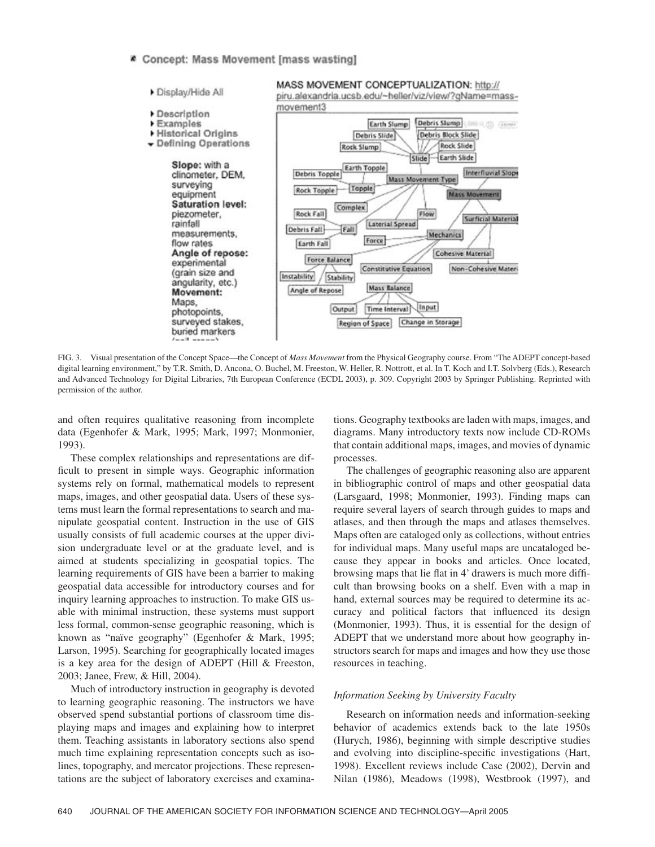Concept: Mass Movement [mass wasting]



FIG. 3. Visual presentation of the Concept Space—the Concept of *Mass Movement* from the Physical Geography course. From "The ADEPT concept-based digital learning environment," by T.R. Smith, D. Ancona, O. Buchel, M. Freeston, W. Heller, R. Nottrott, et al. In T. Koch and I.T. Solvberg (Eds.), Research and Advanced Technology for Digital Libraries, 7th European Conference (ECDL 2003), p. 309. Copyright 2003 by Springer Publishing. Reprinted with permission of the author.

and often requires qualitative reasoning from incomplete data (Egenhofer & Mark, 1995; Mark, 1997; Monmonier, 1993).

These complex relationships and representations are difficult to present in simple ways. Geographic information systems rely on formal, mathematical models to represent maps, images, and other geospatial data. Users of these systems must learn the formal representations to search and manipulate geospatial content. Instruction in the use of GIS usually consists of full academic courses at the upper division undergraduate level or at the graduate level, and is aimed at students specializing in geospatial topics. The learning requirements of GIS have been a barrier to making geospatial data accessible for introductory courses and for inquiry learning approaches to instruction. To make GIS usable with minimal instruction, these systems must support less formal, common-sense geographic reasoning, which is known as "naïve geography" (Egenhofer & Mark, 1995; Larson, 1995). Searching for geographically located images is a key area for the design of ADEPT (Hill & Freeston, 2003; Janee, Frew, & Hill, 2004).

Much of introductory instruction in geography is devoted to learning geographic reasoning. The instructors we have observed spend substantial portions of classroom time displaying maps and images and explaining how to interpret them. Teaching assistants in laboratory sections also spend much time explaining representation concepts such as isolines, topography, and mercator projections. These representations are the subject of laboratory exercises and examinations. Geography textbooks are laden with maps, images, and diagrams. Many introductory texts now include CD-ROMs that contain additional maps, images, and movies of dynamic processes.

The challenges of geographic reasoning also are apparent in bibliographic control of maps and other geospatial data (Larsgaard, 1998; Monmonier, 1993). Finding maps can require several layers of search through guides to maps and atlases, and then through the maps and atlases themselves. Maps often are cataloged only as collections, without entries for individual maps. Many useful maps are uncataloged because they appear in books and articles. Once located, browsing maps that lie flat in 4' drawers is much more difficult than browsing books on a shelf. Even with a map in hand, external sources may be required to determine its accuracy and political factors that influenced its design (Monmonier, 1993). Thus, it is essential for the design of ADEPT that we understand more about how geography instructors search for maps and images and how they use those resources in teaching.

#### *Information Seeking by University Faculty*

Research on information needs and information-seeking behavior of academics extends back to the late 1950s (Hurych, 1986), beginning with simple descriptive studies and evolving into discipline-specific investigations (Hart, 1998). Excellent reviews include Case (2002), Dervin and Nilan (1986), Meadows (1998), Westbrook (1997), and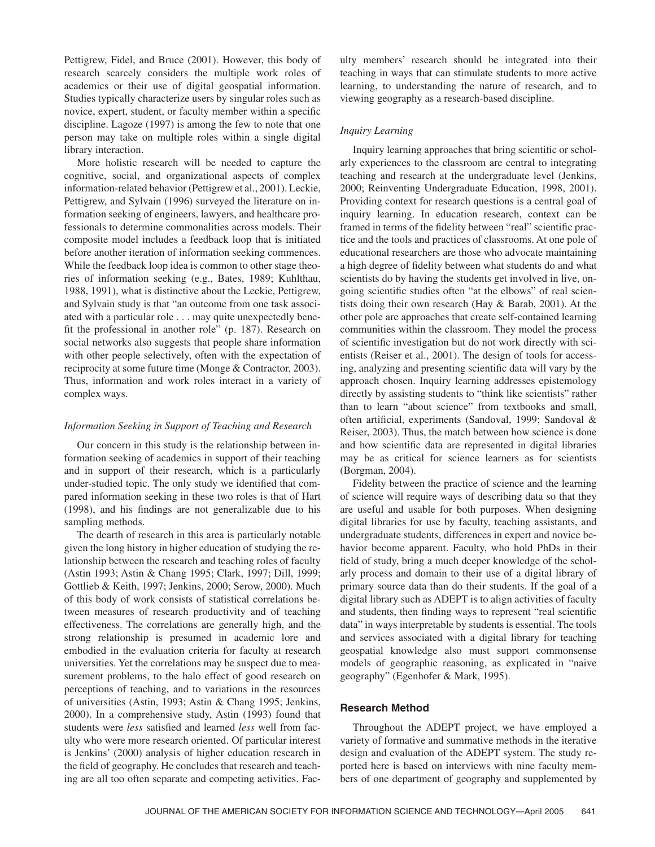Pettigrew, Fidel, and Bruce (2001). However, this body of research scarcely considers the multiple work roles of academics or their use of digital geospatial information. Studies typically characterize users by singular roles such as novice, expert, student, or faculty member within a specific discipline. Lagoze (1997) is among the few to note that one person may take on multiple roles within a single digital library interaction.

More holistic research will be needed to capture the cognitive, social, and organizational aspects of complex information-related behavior (Pettigrew et al., 2001). Leckie, Pettigrew, and Sylvain (1996) surveyed the literature on information seeking of engineers, lawyers, and healthcare professionals to determine commonalities across models. Their composite model includes a feedback loop that is initiated before another iteration of information seeking commences. While the feedback loop idea is common to other stage theories of information seeking (e.g., Bates, 1989; Kuhlthau, 1988, 1991), what is distinctive about the Leckie, Pettigrew, and Sylvain study is that "an outcome from one task associated with a particular role . . . may quite unexpectedly benefit the professional in another role" (p. 187). Research on social networks also suggests that people share information with other people selectively, often with the expectation of reciprocity at some future time (Monge & Contractor, 2003). Thus, information and work roles interact in a variety of complex ways.

#### *Information Seeking in Support of Teaching and Research*

Our concern in this study is the relationship between information seeking of academics in support of their teaching and in support of their research, which is a particularly under-studied topic. The only study we identified that compared information seeking in these two roles is that of Hart (1998), and his findings are not generalizable due to his sampling methods.

The dearth of research in this area is particularly notable given the long history in higher education of studying the relationship between the research and teaching roles of faculty (Astin 1993; Astin & Chang 1995; Clark, 1997; Dill, 1999; Gottlieb & Keith, 1997; Jenkins, 2000; Serow, 2000). Much of this body of work consists of statistical correlations between measures of research productivity and of teaching effectiveness. The correlations are generally high, and the strong relationship is presumed in academic lore and embodied in the evaluation criteria for faculty at research universities. Yet the correlations may be suspect due to measurement problems, to the halo effect of good research on perceptions of teaching, and to variations in the resources of universities (Astin, 1993; Astin & Chang 1995; Jenkins, 2000). In a comprehensive study, Astin (1993) found that students were *less* satisfied and learned *less* well from faculty who were more research oriented. Of particular interest is Jenkins' (2000) analysis of higher education research in the field of geography. He concludes that research and teaching are all too often separate and competing activities. Faculty members' research should be integrated into their teaching in ways that can stimulate students to more active learning, to understanding the nature of research, and to viewing geography as a research-based discipline.

## *Inquiry Learning*

Inquiry learning approaches that bring scientific or scholarly experiences to the classroom are central to integrating teaching and research at the undergraduate level (Jenkins, 2000; Reinventing Undergraduate Education, 1998, 2001). Providing context for research questions is a central goal of inquiry learning. In education research, context can be framed in terms of the fidelity between "real" scientific practice and the tools and practices of classrooms. At one pole of educational researchers are those who advocate maintaining a high degree of fidelity between what students do and what scientists do by having the students get involved in live, ongoing scientific studies often "at the elbows" of real scientists doing their own research (Hay & Barab, 2001). At the other pole are approaches that create self-contained learning communities within the classroom. They model the process of scientific investigation but do not work directly with scientists (Reiser et al., 2001). The design of tools for accessing, analyzing and presenting scientific data will vary by the approach chosen. Inquiry learning addresses epistemology directly by assisting students to "think like scientists" rather than to learn "about science" from textbooks and small, often artificial, experiments (Sandoval, 1999; Sandoval & Reiser, 2003). Thus, the match between how science is done and how scientific data are represented in digital libraries may be as critical for science learners as for scientists (Borgman, 2004).

Fidelity between the practice of science and the learning of science will require ways of describing data so that they are useful and usable for both purposes. When designing digital libraries for use by faculty, teaching assistants, and undergraduate students, differences in expert and novice behavior become apparent. Faculty, who hold PhDs in their field of study, bring a much deeper knowledge of the scholarly process and domain to their use of a digital library of primary source data than do their students. If the goal of a digital library such as ADEPT is to align activities of faculty and students, then finding ways to represent "real scientific data" in ways interpretable by students is essential. The tools and services associated with a digital library for teaching geospatial knowledge also must support commonsense models of geographic reasoning, as explicated in "naive geography" (Egenhofer & Mark, 1995).

#### **Research Method**

Throughout the ADEPT project, we have employed a variety of formative and summative methods in the iterative design and evaluation of the ADEPT system. The study reported here is based on interviews with nine faculty members of one department of geography and supplemented by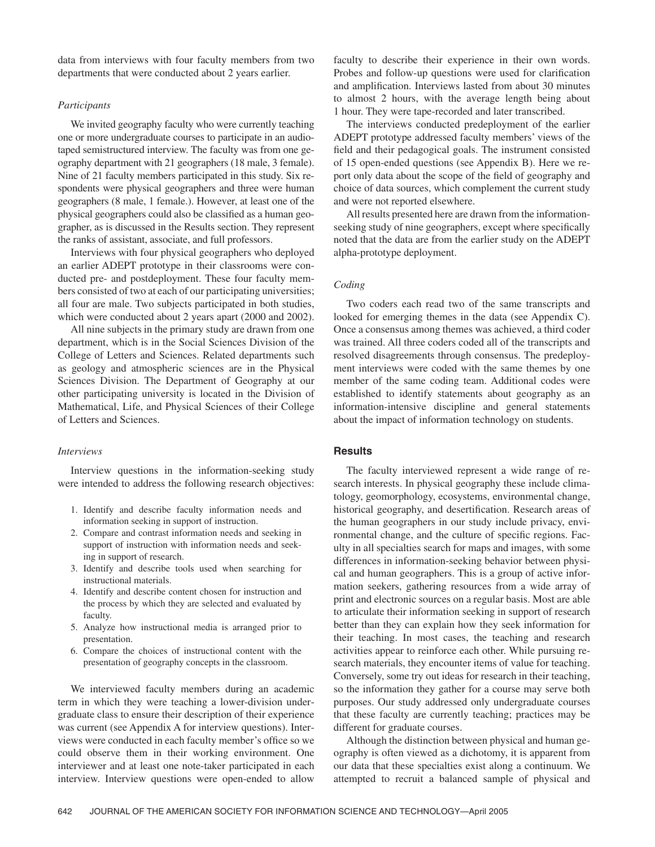data from interviews with four faculty members from two departments that were conducted about 2 years earlier.

## *Participants*

We invited geography faculty who were currently teaching one or more undergraduate courses to participate in an audiotaped semistructured interview. The faculty was from one geography department with 21 geographers (18 male, 3 female). Nine of 21 faculty members participated in this study. Six respondents were physical geographers and three were human geographers (8 male, 1 female.). However, at least one of the physical geographers could also be classified as a human geographer, as is discussed in the Results section. They represent the ranks of assistant, associate, and full professors.

Interviews with four physical geographers who deployed an earlier ADEPT prototype in their classrooms were conducted pre- and postdeployment. These four faculty members consisted of two at each of our participating universities; all four are male. Two subjects participated in both studies, which were conducted about 2 years apart (2000 and 2002).

All nine subjects in the primary study are drawn from one department, which is in the Social Sciences Division of the College of Letters and Sciences. Related departments such as geology and atmospheric sciences are in the Physical Sciences Division. The Department of Geography at our other participating university is located in the Division of Mathematical, Life, and Physical Sciences of their College of Letters and Sciences.

#### *Interviews*

Interview questions in the information-seeking study were intended to address the following research objectives:

- 1. Identify and describe faculty information needs and information seeking in support of instruction.
- 2. Compare and contrast information needs and seeking in support of instruction with information needs and seeking in support of research.
- 3. Identify and describe tools used when searching for instructional materials.
- 4. Identify and describe content chosen for instruction and the process by which they are selected and evaluated by faculty.
- 5. Analyze how instructional media is arranged prior to presentation.
- 6. Compare the choices of instructional content with the presentation of geography concepts in the classroom.

We interviewed faculty members during an academic term in which they were teaching a lower-division undergraduate class to ensure their description of their experience was current (see Appendix A for interview questions). Interviews were conducted in each faculty member's office so we could observe them in their working environment. One interviewer and at least one note-taker participated in each interview. Interview questions were open-ended to allow

faculty to describe their experience in their own words. Probes and follow-up questions were used for clarification and amplification. Interviews lasted from about 30 minutes to almost 2 hours, with the average length being about 1 hour. They were tape-recorded and later transcribed.

The interviews conducted predeployment of the earlier ADEPT prototype addressed faculty members' views of the field and their pedagogical goals. The instrument consisted of 15 open-ended questions (see Appendix B). Here we report only data about the scope of the field of geography and choice of data sources, which complement the current study and were not reported elsewhere.

All results presented here are drawn from the informationseeking study of nine geographers, except where specifically noted that the data are from the earlier study on the ADEPT alpha-prototype deployment.

#### *Coding*

Two coders each read two of the same transcripts and looked for emerging themes in the data (see Appendix C). Once a consensus among themes was achieved, a third coder was trained. All three coders coded all of the transcripts and resolved disagreements through consensus. The predeployment interviews were coded with the same themes by one member of the same coding team. Additional codes were established to identify statements about geography as an information-intensive discipline and general statements about the impact of information technology on students.

#### **Results**

The faculty interviewed represent a wide range of research interests. In physical geography these include climatology, geomorphology, ecosystems, environmental change, historical geography, and desertification. Research areas of the human geographers in our study include privacy, environmental change, and the culture of specific regions. Faculty in all specialties search for maps and images, with some differences in information-seeking behavior between physical and human geographers. This is a group of active information seekers, gathering resources from a wide array of print and electronic sources on a regular basis. Most are able to articulate their information seeking in support of research better than they can explain how they seek information for their teaching. In most cases, the teaching and research activities appear to reinforce each other. While pursuing research materials, they encounter items of value for teaching. Conversely, some try out ideas for research in their teaching, so the information they gather for a course may serve both purposes. Our study addressed only undergraduate courses that these faculty are currently teaching; practices may be different for graduate courses.

Although the distinction between physical and human geography is often viewed as a dichotomy, it is apparent from our data that these specialties exist along a continuum. We attempted to recruit a balanced sample of physical and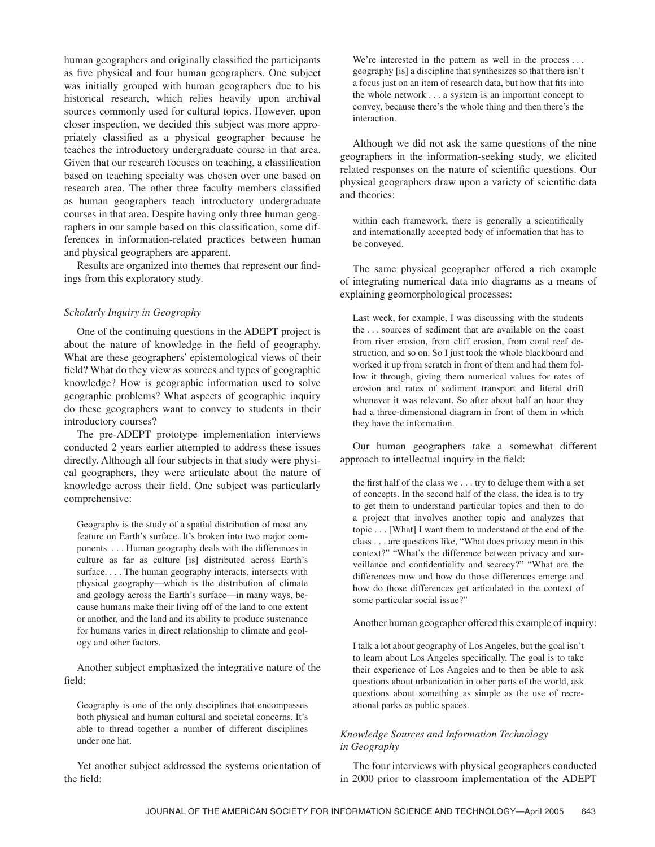human geographers and originally classified the participants as five physical and four human geographers. One subject was initially grouped with human geographers due to his historical research, which relies heavily upon archival sources commonly used for cultural topics. However, upon closer inspection, we decided this subject was more appropriately classified as a physical geographer because he teaches the introductory undergraduate course in that area. Given that our research focuses on teaching, a classification based on teaching specialty was chosen over one based on research area. The other three faculty members classified as human geographers teach introductory undergraduate courses in that area. Despite having only three human geographers in our sample based on this classification, some differences in information-related practices between human and physical geographers are apparent.

Results are organized into themes that represent our findings from this exploratory study.

#### *Scholarly Inquiry in Geography*

One of the continuing questions in the ADEPT project is about the nature of knowledge in the field of geography. What are these geographers' epistemological views of their field? What do they view as sources and types of geographic knowledge? How is geographic information used to solve geographic problems? What aspects of geographic inquiry do these geographers want to convey to students in their introductory courses?

The pre-ADEPT prototype implementation interviews conducted 2 years earlier attempted to address these issues directly. Although all four subjects in that study were physical geographers, they were articulate about the nature of knowledge across their field. One subject was particularly comprehensive:

Geography is the study of a spatial distribution of most any feature on Earth's surface. It's broken into two major components.... Human geography deals with the differences in culture as far as culture [is] distributed across Earth's surface.... The human geography interacts, intersects with physical geography—which is the distribution of climate and geology across the Earth's surface—in many ways, because humans make their living off of the land to one extent or another, and the land and its ability to produce sustenance for humans varies in direct relationship to climate and geology and other factors.

Another subject emphasized the integrative nature of the field:

Geography is one of the only disciplines that encompasses both physical and human cultural and societal concerns. It's able to thread together a number of different disciplines under one hat.

Yet another subject addressed the systems orientation of the field:

We're interested in the pattern as well in the process... geography [is] a discipline that synthesizes so that there isn't a focus just on an item of research data, but how that fits into the whole network . . . a system is an important concept to convey, because there's the whole thing and then there's the interaction.

Although we did not ask the same questions of the nine geographers in the information-seeking study, we elicited related responses on the nature of scientific questions. Our physical geographers draw upon a variety of scientific data and theories:

within each framework, there is generally a scientifically and internationally accepted body of information that has to be conveyed.

The same physical geographer offered a rich example of integrating numerical data into diagrams as a means of explaining geomorphological processes:

Last week, for example, I was discussing with the students the . . . sources of sediment that are available on the coast from river erosion, from cliff erosion, from coral reef destruction, and so on. So I just took the whole blackboard and worked it up from scratch in front of them and had them follow it through, giving them numerical values for rates of erosion and rates of sediment transport and literal drift whenever it was relevant. So after about half an hour they had a three-dimensional diagram in front of them in which they have the information.

Our human geographers take a somewhat different approach to intellectual inquiry in the field:

the first half of the class we... try to deluge them with a set of concepts. In the second half of the class, the idea is to try to get them to understand particular topics and then to do a project that involves another topic and analyzes that topic . . . [What] I want them to understand at the end of the class... are questions like, "What does privacy mean in this context?" "What's the difference between privacy and surveillance and confidentiality and secrecy?" "What are the differences now and how do those differences emerge and how do those differences get articulated in the context of some particular social issue?"

Another human geographer offered this example of inquiry:

I talk a lot about geography of Los Angeles, but the goal isn't to learn about Los Angeles specifically. The goal is to take their experience of Los Angeles and to then be able to ask questions about urbanization in other parts of the world, ask questions about something as simple as the use of recreational parks as public spaces.

# *Knowledge Sources and Information Technology in Geography*

The four interviews with physical geographers conducted in 2000 prior to classroom implementation of the ADEPT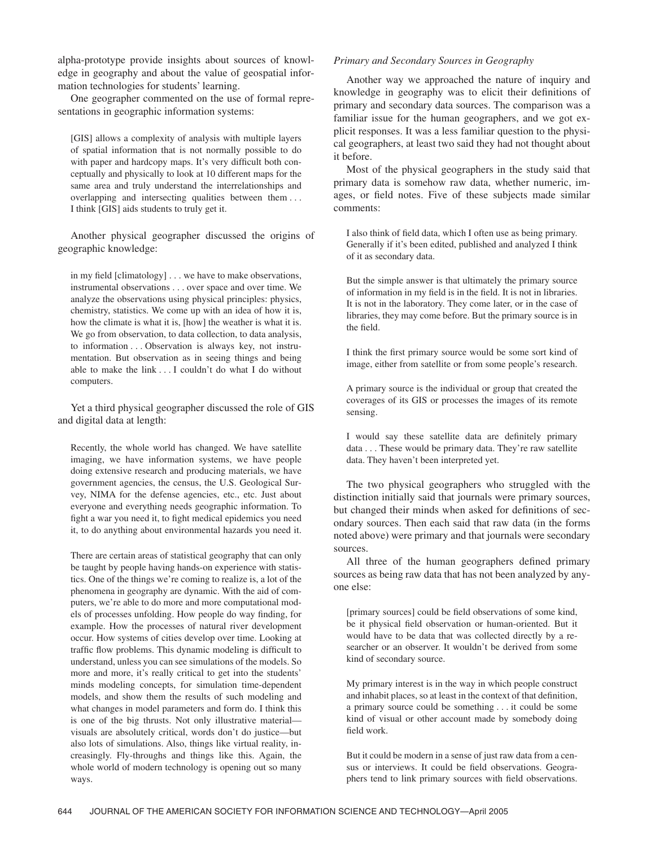alpha-prototype provide insights about sources of knowledge in geography and about the value of geospatial information technologies for students' learning.

One geographer commented on the use of formal representations in geographic information systems:

[GIS] allows a complexity of analysis with multiple layers of spatial information that is not normally possible to do with paper and hardcopy maps. It's very difficult both conceptually and physically to look at 10 different maps for the same area and truly understand the interrelationships and overlapping and intersecting qualities between them... I think [GIS] aids students to truly get it.

Another physical geographer discussed the origins of geographic knowledge:

in my field [climatology] . . . we have to make observations, instrumental observations... over space and over time. We analyze the observations using physical principles: physics, chemistry, statistics. We come up with an idea of how it is, how the climate is what it is, [how] the weather is what it is. We go from observation, to data collection, to data analysis, to information... Observation is always key, not instrumentation. But observation as in seeing things and being able to make the link . . . I couldn't do what I do without computers.

Yet a third physical geographer discussed the role of GIS and digital data at length:

Recently, the whole world has changed. We have satellite imaging, we have information systems, we have people doing extensive research and producing materials, we have government agencies, the census, the U.S. Geological Survey, NIMA for the defense agencies, etc., etc. Just about everyone and everything needs geographic information. To fight a war you need it, to fight medical epidemics you need it, to do anything about environmental hazards you need it.

There are certain areas of statistical geography that can only be taught by people having hands-on experience with statistics. One of the things we're coming to realize is, a lot of the phenomena in geography are dynamic. With the aid of computers, we're able to do more and more computational models of processes unfolding. How people do way finding, for example. How the processes of natural river development occur. How systems of cities develop over time. Looking at traffic flow problems. This dynamic modeling is difficult to understand, unless you can see simulations of the models. So more and more, it's really critical to get into the students' minds modeling concepts, for simulation time-dependent models, and show them the results of such modeling and what changes in model parameters and form do. I think this is one of the big thrusts. Not only illustrative material visuals are absolutely critical, words don't do justice—but also lots of simulations. Also, things like virtual reality, increasingly. Fly-throughs and things like this. Again, the whole world of modern technology is opening out so many ways.

#### *Primary and Secondary Sources in Geography*

Another way we approached the nature of inquiry and knowledge in geography was to elicit their definitions of primary and secondary data sources. The comparison was a familiar issue for the human geographers, and we got explicit responses. It was a less familiar question to the physical geographers, at least two said they had not thought about it before.

Most of the physical geographers in the study said that primary data is somehow raw data, whether numeric, images, or field notes. Five of these subjects made similar comments:

I also think of field data, which I often use as being primary. Generally if it's been edited, published and analyzed I think of it as secondary data.

But the simple answer is that ultimately the primary source of information in my field is in the field. It is not in libraries. It is not in the laboratory. They come later, or in the case of libraries, they may come before. But the primary source is in the field.

I think the first primary source would be some sort kind of image, either from satellite or from some people's research.

A primary source is the individual or group that created the coverages of its GIS or processes the images of its remote sensing.

I would say these satellite data are definitely primary data . . . These would be primary data. They're raw satellite data. They haven't been interpreted yet.

The two physical geographers who struggled with the distinction initially said that journals were primary sources, but changed their minds when asked for definitions of secondary sources. Then each said that raw data (in the forms noted above) were primary and that journals were secondary sources.

All three of the human geographers defined primary sources as being raw data that has not been analyzed by anyone else:

[primary sources] could be field observations of some kind, be it physical field observation or human-oriented. But it would have to be data that was collected directly by a researcher or an observer. It wouldn't be derived from some kind of secondary source.

My primary interest is in the way in which people construct and inhabit places, so at least in the context of that definition, a primary source could be something . . . it could be some kind of visual or other account made by somebody doing field work.

But it could be modern in a sense of just raw data from a census or interviews. It could be field observations. Geographers tend to link primary sources with field observations.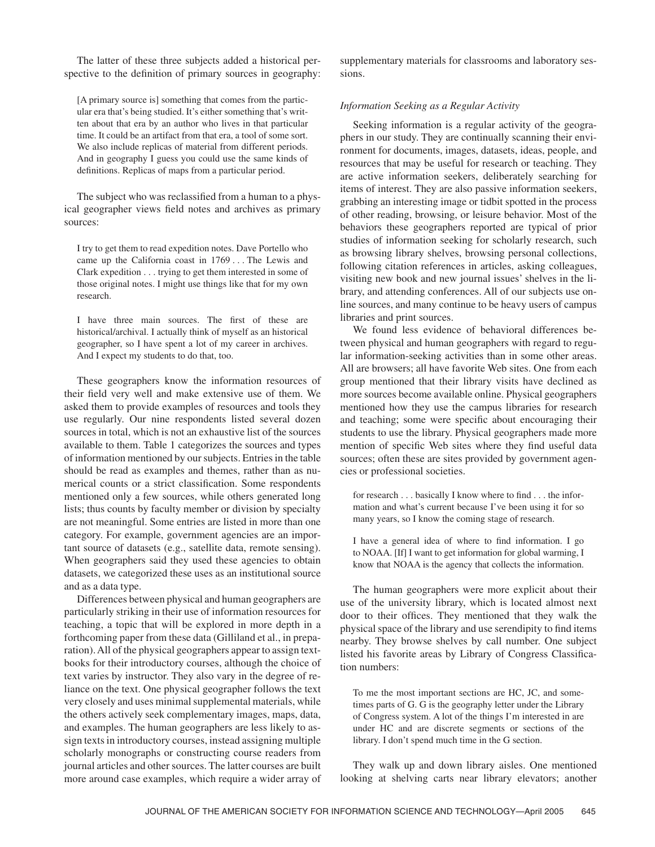The latter of these three subjects added a historical perspective to the definition of primary sources in geography:

[A primary source is] something that comes from the particular era that's being studied. It's either something that's written about that era by an author who lives in that particular time. It could be an artifact from that era, a tool of some sort. We also include replicas of material from different periods. And in geography I guess you could use the same kinds of definitions. Replicas of maps from a particular period.

The subject who was reclassified from a human to a physical geographer views field notes and archives as primary sources:

I try to get them to read expedition notes. Dave Portello who came up the California coast in 1769... The Lewis and Clark expedition... trying to get them interested in some of those original notes. I might use things like that for my own research.

I have three main sources. The first of these are historical/archival. I actually think of myself as an historical geographer, so I have spent a lot of my career in archives. And I expect my students to do that, too.

These geographers know the information resources of their field very well and make extensive use of them. We asked them to provide examples of resources and tools they use regularly. Our nine respondents listed several dozen sources in total, which is not an exhaustive list of the sources available to them. Table 1 categorizes the sources and types of information mentioned by our subjects. Entries in the table should be read as examples and themes, rather than as numerical counts or a strict classification. Some respondents mentioned only a few sources, while others generated long lists; thus counts by faculty member or division by specialty are not meaningful. Some entries are listed in more than one category. For example, government agencies are an important source of datasets (e.g., satellite data, remote sensing). When geographers said they used these agencies to obtain datasets, we categorized these uses as an institutional source and as a data type.

Differences between physical and human geographers are particularly striking in their use of information resources for teaching, a topic that will be explored in more depth in a forthcoming paper from these data (Gilliland et al., in preparation).All of the physical geographers appear to assign textbooks for their introductory courses, although the choice of text varies by instructor. They also vary in the degree of reliance on the text. One physical geographer follows the text very closely and uses minimal supplemental materials, while the others actively seek complementary images, maps, data, and examples. The human geographers are less likely to assign texts in introductory courses, instead assigning multiple scholarly monographs or constructing course readers from journal articles and other sources. The latter courses are built more around case examples, which require a wider array of

supplementary materials for classrooms and laboratory sessions.

#### *Information Seeking as a Regular Activity*

Seeking information is a regular activity of the geographers in our study. They are continually scanning their environment for documents, images, datasets, ideas, people, and resources that may be useful for research or teaching. They are active information seekers, deliberately searching for items of interest. They are also passive information seekers, grabbing an interesting image or tidbit spotted in the process of other reading, browsing, or leisure behavior. Most of the behaviors these geographers reported are typical of prior studies of information seeking for scholarly research, such as browsing library shelves, browsing personal collections, following citation references in articles, asking colleagues, visiting new book and new journal issues' shelves in the library, and attending conferences. All of our subjects use online sources, and many continue to be heavy users of campus libraries and print sources.

We found less evidence of behavioral differences between physical and human geographers with regard to regular information-seeking activities than in some other areas. All are browsers; all have favorite Web sites. One from each group mentioned that their library visits have declined as more sources become available online. Physical geographers mentioned how they use the campus libraries for research and teaching; some were specific about encouraging their students to use the library. Physical geographers made more mention of specific Web sites where they find useful data sources; often these are sites provided by government agencies or professional societies.

for research... basically I know where to find... the information and what's current because I've been using it for so many years, so I know the coming stage of research.

I have a general idea of where to find information. I go to NOAA. [If] I want to get information for global warming, I know that NOAA is the agency that collects the information.

The human geographers were more explicit about their use of the university library, which is located almost next door to their offices. They mentioned that they walk the physical space of the library and use serendipity to find items nearby. They browse shelves by call number. One subject listed his favorite areas by Library of Congress Classification numbers:

To me the most important sections are HC, JC, and sometimes parts of G. G is the geography letter under the Library of Congress system. A lot of the things I'm interested in are under HC and are discrete segments or sections of the library. I don't spend much time in the G section.

They walk up and down library aisles. One mentioned looking at shelving carts near library elevators; another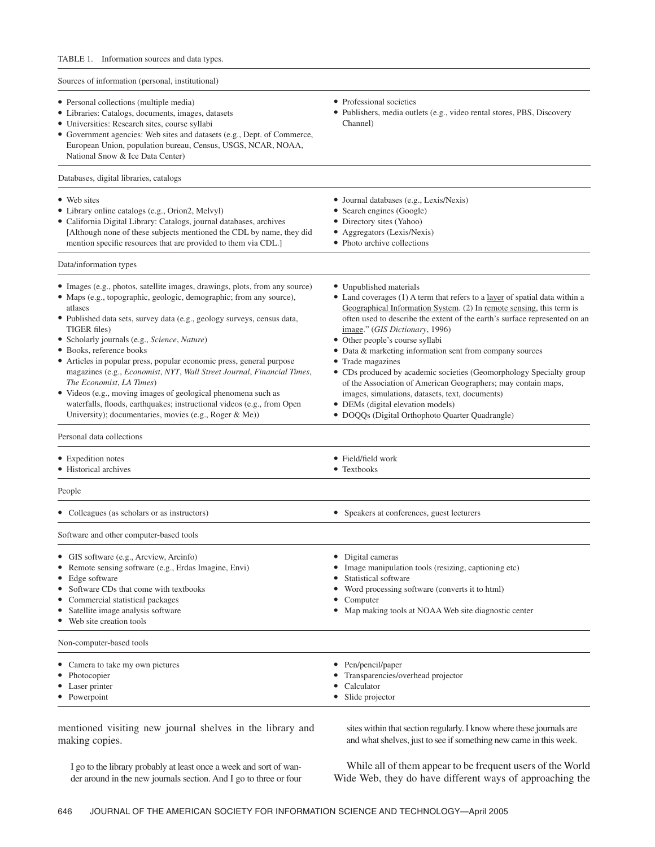| Sources of information (personal, institutional)                                                                                                                                                                                                                                                                                                                                                                                                                                                                                                                                                                                                                                                                        |                                                                                                                                                                                                                                                                                                                                                                                                                                                                                                                                                                                                                                                                                                                      |
|-------------------------------------------------------------------------------------------------------------------------------------------------------------------------------------------------------------------------------------------------------------------------------------------------------------------------------------------------------------------------------------------------------------------------------------------------------------------------------------------------------------------------------------------------------------------------------------------------------------------------------------------------------------------------------------------------------------------------|----------------------------------------------------------------------------------------------------------------------------------------------------------------------------------------------------------------------------------------------------------------------------------------------------------------------------------------------------------------------------------------------------------------------------------------------------------------------------------------------------------------------------------------------------------------------------------------------------------------------------------------------------------------------------------------------------------------------|
| • Personal collections (multiple media)<br>· Libraries: Catalogs, documents, images, datasets<br>· Universities: Research sites, course syllabi<br>• Government agencies: Web sites and datasets (e.g., Dept. of Commerce,<br>European Union, population bureau, Census, USGS, NCAR, NOAA,<br>National Snow & Ice Data Center)                                                                                                                                                                                                                                                                                                                                                                                          | • Professional societies<br>• Publishers, media outlets (e.g., video rental stores, PBS, Discovery<br>Channel)                                                                                                                                                                                                                                                                                                                                                                                                                                                                                                                                                                                                       |
| Databases, digital libraries, catalogs                                                                                                                                                                                                                                                                                                                                                                                                                                                                                                                                                                                                                                                                                  |                                                                                                                                                                                                                                                                                                                                                                                                                                                                                                                                                                                                                                                                                                                      |
| • Web sites<br>• Library online catalogs (e.g., Orion2, Melvyl)<br>· California Digital Library: Catalogs, journal databases, archives<br>[Although none of these subjects mentioned the CDL by name, they did<br>mention specific resources that are provided to them via CDL.]                                                                                                                                                                                                                                                                                                                                                                                                                                        | • Journal databases (e.g., Lexis/Nexis)<br>• Search engines (Google)<br>• Directory sites (Yahoo)<br>• Aggregators (Lexis/Nexis)<br>• Photo archive collections                                                                                                                                                                                                                                                                                                                                                                                                                                                                                                                                                      |
| Data/information types                                                                                                                                                                                                                                                                                                                                                                                                                                                                                                                                                                                                                                                                                                  |                                                                                                                                                                                                                                                                                                                                                                                                                                                                                                                                                                                                                                                                                                                      |
| • Images (e.g., photos, satellite images, drawings, plots, from any source)<br>• Maps (e.g., topographic, geologic, demographic; from any source),<br>atlases<br>• Published data sets, survey data (e.g., geology surveys, census data,<br>TIGER files)<br>· Scholarly journals (e.g., Science, Nature)<br>· Books, reference books<br>• Articles in popular press, popular economic press, general purpose<br>magazines (e.g., Economist, NYT, Wall Street Journal, Financial Times,<br>The Economist, LA Times)<br>• Videos (e.g., moving images of geological phenomena such as<br>waterfalls, floods, earthquakes; instructional videos (e.g., from Open<br>University); documentaries, movies (e.g., Roger & Me)) | • Unpublished materials<br>$\bullet$ Land coverages (1) A term that refers to a <u>layer</u> of spatial data within a<br>Geographical Information System. (2) In remote sensing, this term is<br>often used to describe the extent of the earth's surface represented on an<br>image." (GIS Dictionary, 1996)<br>• Other people's course syllabi<br>• Data & marketing information sent from company sources<br>• Trade magazines<br>• CDs produced by academic societies (Geomorphology Specialty group<br>of the Association of American Geographers; may contain maps,<br>images, simulations, datasets, text, documents)<br>• DEMs (digital elevation models)<br>· DOQQs (Digital Orthophoto Quarter Quadrangle) |
| Personal data collections                                                                                                                                                                                                                                                                                                                                                                                                                                                                                                                                                                                                                                                                                               |                                                                                                                                                                                                                                                                                                                                                                                                                                                                                                                                                                                                                                                                                                                      |
| • Expedition notes<br>• Historical archives                                                                                                                                                                                                                                                                                                                                                                                                                                                                                                                                                                                                                                                                             | • Field/field work<br>• Textbooks                                                                                                                                                                                                                                                                                                                                                                                                                                                                                                                                                                                                                                                                                    |
| People                                                                                                                                                                                                                                                                                                                                                                                                                                                                                                                                                                                                                                                                                                                  |                                                                                                                                                                                                                                                                                                                                                                                                                                                                                                                                                                                                                                                                                                                      |
| • Colleagues (as scholars or as instructors)                                                                                                                                                                                                                                                                                                                                                                                                                                                                                                                                                                                                                                                                            | • Speakers at conferences, guest lecturers                                                                                                                                                                                                                                                                                                                                                                                                                                                                                                                                                                                                                                                                           |
| Software and other computer-based tools                                                                                                                                                                                                                                                                                                                                                                                                                                                                                                                                                                                                                                                                                 |                                                                                                                                                                                                                                                                                                                                                                                                                                                                                                                                                                                                                                                                                                                      |
| GIS software (e.g., Arcview, Arcinfo)<br>٠<br>Remote sensing software (e.g., Erdas Imagine, Envi)<br>Edge software<br>٠<br>Software CDs that come with textbooks<br>$\bullet$<br>Commercial statistical packages<br>٠<br>Satellite image analysis software<br>٠<br>• Web site creation tools                                                                                                                                                                                                                                                                                                                                                                                                                            | Digital cameras<br>Image manipulation tools (resizing, captioning etc)<br>Statistical software<br>Word processing software (converts it to html)<br>Computer<br>Map making tools at NOAA Web site diagnostic center                                                                                                                                                                                                                                                                                                                                                                                                                                                                                                  |
| Non-computer-based tools                                                                                                                                                                                                                                                                                                                                                                                                                                                                                                                                                                                                                                                                                                |                                                                                                                                                                                                                                                                                                                                                                                                                                                                                                                                                                                                                                                                                                                      |
| • Camera to take my own pictures<br>• Photocopier<br>Laser printer<br>٠<br>• Powerpoint                                                                                                                                                                                                                                                                                                                                                                                                                                                                                                                                                                                                                                 | Pen/pencil/paper<br>Transparencies/overhead projector<br>Calculator<br>Slide projector                                                                                                                                                                                                                                                                                                                                                                                                                                                                                                                                                                                                                               |

mentioned visiting new journal shelves in the library and making copies.

I go to the library probably at least once a week and sort of wander around in the new journals section. And I go to three or four

sites within that section regularly. I know where these journals are and what shelves, just to see if something new came in this week.

While all of them appear to be frequent users of the World Wide Web, they do have different ways of approaching the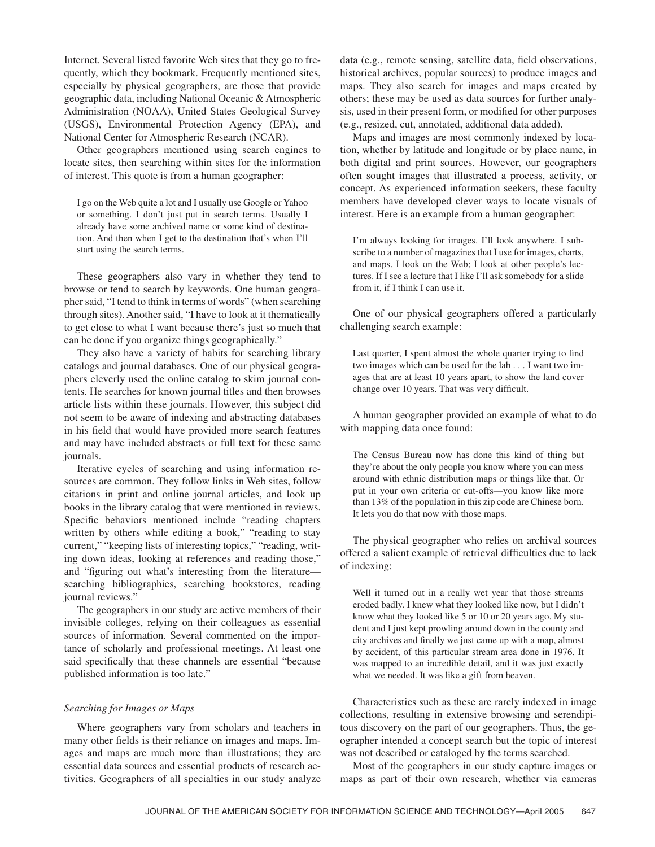Internet. Several listed favorite Web sites that they go to frequently, which they bookmark. Frequently mentioned sites, especially by physical geographers, are those that provide geographic data, including National Oceanic & Atmospheric Administration (NOAA), United States Geological Survey (USGS), Environmental Protection Agency (EPA), and National Center for Atmospheric Research (NCAR).

Other geographers mentioned using search engines to locate sites, then searching within sites for the information of interest. This quote is from a human geographer:

I go on the Web quite a lot and I usually use Google or Yahoo or something. I don't just put in search terms. Usually I already have some archived name or some kind of destination. And then when I get to the destination that's when I'll start using the search terms.

These geographers also vary in whether they tend to browse or tend to search by keywords. One human geographer said, "I tend to think in terms of words" (when searching through sites). Another said, "I have to look at it thematically to get close to what I want because there's just so much that can be done if you organize things geographically."

They also have a variety of habits for searching library catalogs and journal databases. One of our physical geographers cleverly used the online catalog to skim journal contents. He searches for known journal titles and then browses article lists within these journals. However, this subject did not seem to be aware of indexing and abstracting databases in his field that would have provided more search features and may have included abstracts or full text for these same journals.

Iterative cycles of searching and using information resources are common. They follow links in Web sites, follow citations in print and online journal articles, and look up books in the library catalog that were mentioned in reviews. Specific behaviors mentioned include "reading chapters written by others while editing a book," "reading to stay current," "keeping lists of interesting topics," "reading, writing down ideas, looking at references and reading those," and "figuring out what's interesting from the literature searching bibliographies, searching bookstores, reading journal reviews."

The geographers in our study are active members of their invisible colleges, relying on their colleagues as essential sources of information. Several commented on the importance of scholarly and professional meetings. At least one said specifically that these channels are essential "because published information is too late."

#### *Searching for Images or Maps*

Where geographers vary from scholars and teachers in many other fields is their reliance on images and maps. Images and maps are much more than illustrations; they are essential data sources and essential products of research activities. Geographers of all specialties in our study analyze data (e.g., remote sensing, satellite data, field observations, historical archives, popular sources) to produce images and maps. They also search for images and maps created by others; these may be used as data sources for further analysis, used in their present form, or modified for other purposes (e.g., resized, cut, annotated, additional data added).

Maps and images are most commonly indexed by location, whether by latitude and longitude or by place name, in both digital and print sources. However, our geographers often sought images that illustrated a process, activity, or concept. As experienced information seekers, these faculty members have developed clever ways to locate visuals of interest. Here is an example from a human geographer:

I'm always looking for images. I'll look anywhere. I subscribe to a number of magazines that I use for images, charts, and maps. I look on the Web; I look at other people's lectures. If I see a lecture that I like I'll ask somebody for a slide from it, if I think I can use it.

One of our physical geographers offered a particularly challenging search example:

Last quarter, I spent almost the whole quarter trying to find two images which can be used for the lab . . . I want two images that are at least 10 years apart, to show the land cover change over 10 years. That was very difficult.

A human geographer provided an example of what to do with mapping data once found:

The Census Bureau now has done this kind of thing but they're about the only people you know where you can mess around with ethnic distribution maps or things like that. Or put in your own criteria or cut-offs—you know like more than 13% of the population in this zip code are Chinese born. It lets you do that now with those maps.

The physical geographer who relies on archival sources offered a salient example of retrieval difficulties due to lack of indexing:

Well it turned out in a really wet year that those streams eroded badly. I knew what they looked like now, but I didn't know what they looked like 5 or 10 or 20 years ago. My student and I just kept prowling around down in the county and city archives and finally we just came up with a map, almost by accident, of this particular stream area done in 1976. It was mapped to an incredible detail, and it was just exactly what we needed. It was like a gift from heaven.

Characteristics such as these are rarely indexed in image collections, resulting in extensive browsing and serendipitous discovery on the part of our geographers. Thus, the geographer intended a concept search but the topic of interest was not described or cataloged by the terms searched.

Most of the geographers in our study capture images or maps as part of their own research, whether via cameras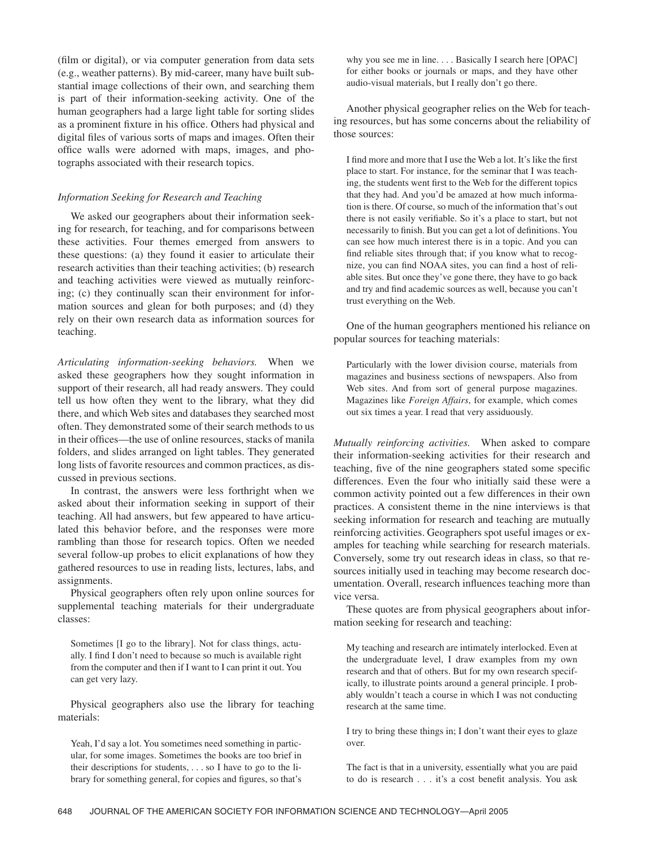(film or digital), or via computer generation from data sets (e.g., weather patterns). By mid-career, many have built substantial image collections of their own, and searching them is part of their information-seeking activity. One of the human geographers had a large light table for sorting slides as a prominent fixture in his office. Others had physical and digital files of various sorts of maps and images. Often their office walls were adorned with maps, images, and photographs associated with their research topics.

#### *Information Seeking for Research and Teaching*

We asked our geographers about their information seeking for research, for teaching, and for comparisons between these activities. Four themes emerged from answers to these questions: (a) they found it easier to articulate their research activities than their teaching activities; (b) research and teaching activities were viewed as mutually reinforcing; (c) they continually scan their environment for information sources and glean for both purposes; and (d) they rely on their own research data as information sources for teaching.

*Articulating information-seeking behaviors.* When we asked these geographers how they sought information in support of their research, all had ready answers. They could tell us how often they went to the library, what they did there, and which Web sites and databases they searched most often. They demonstrated some of their search methods to us in their offices—the use of online resources, stacks of manila folders, and slides arranged on light tables. They generated long lists of favorite resources and common practices, as discussed in previous sections.

In contrast, the answers were less forthright when we asked about their information seeking in support of their teaching. All had answers, but few appeared to have articulated this behavior before, and the responses were more rambling than those for research topics. Often we needed several follow-up probes to elicit explanations of how they gathered resources to use in reading lists, lectures, labs, and assignments.

Physical geographers often rely upon online sources for supplemental teaching materials for their undergraduate classes:

Sometimes [I go to the library]. Not for class things, actually. I find I don't need to because so much is available right from the computer and then if I want to I can print it out. You can get very lazy.

Physical geographers also use the library for teaching materials:

Yeah, I'd say a lot. You sometimes need something in particular, for some images. Sometimes the books are too brief in their descriptions for students, . . . so I have to go to the library for something general, for copies and figures, so that's

why you see me in line.... Basically I search here [OPAC] for either books or journals or maps, and they have other audio-visual materials, but I really don't go there.

Another physical geographer relies on the Web for teaching resources, but has some concerns about the reliability of those sources:

I find more and more that I use the Web a lot. It's like the first place to start. For instance, for the seminar that I was teaching, the students went first to the Web for the different topics that they had. And you'd be amazed at how much information is there. Of course, so much of the information that's out there is not easily verifiable. So it's a place to start, but not necessarily to finish. But you can get a lot of definitions. You can see how much interest there is in a topic. And you can find reliable sites through that; if you know what to recognize, you can find NOAA sites, you can find a host of reliable sites. But once they've gone there, they have to go back and try and find academic sources as well, because you can't trust everything on the Web.

One of the human geographers mentioned his reliance on popular sources for teaching materials:

Particularly with the lower division course, materials from magazines and business sections of newspapers. Also from Web sites. And from sort of general purpose magazines. Magazines like *Foreign Affairs*, for example, which comes out six times a year. I read that very assiduously.

*Mutually reinforcing activities.* When asked to compare their information-seeking activities for their research and teaching, five of the nine geographers stated some specific differences. Even the four who initially said these were a common activity pointed out a few differences in their own practices. A consistent theme in the nine interviews is that seeking information for research and teaching are mutually reinforcing activities. Geographers spot useful images or examples for teaching while searching for research materials. Conversely, some try out research ideas in class, so that resources initially used in teaching may become research documentation. Overall, research influences teaching more than vice versa.

These quotes are from physical geographers about information seeking for research and teaching:

My teaching and research are intimately interlocked. Even at the undergraduate level, I draw examples from my own research and that of others. But for my own research specifically, to illustrate points around a general principle. I probably wouldn't teach a course in which I was not conducting research at the same time.

I try to bring these things in; I don't want their eyes to glaze over.

The fact is that in a university, essentially what you are paid to do is research . . . it's a cost benefit analysis. You ask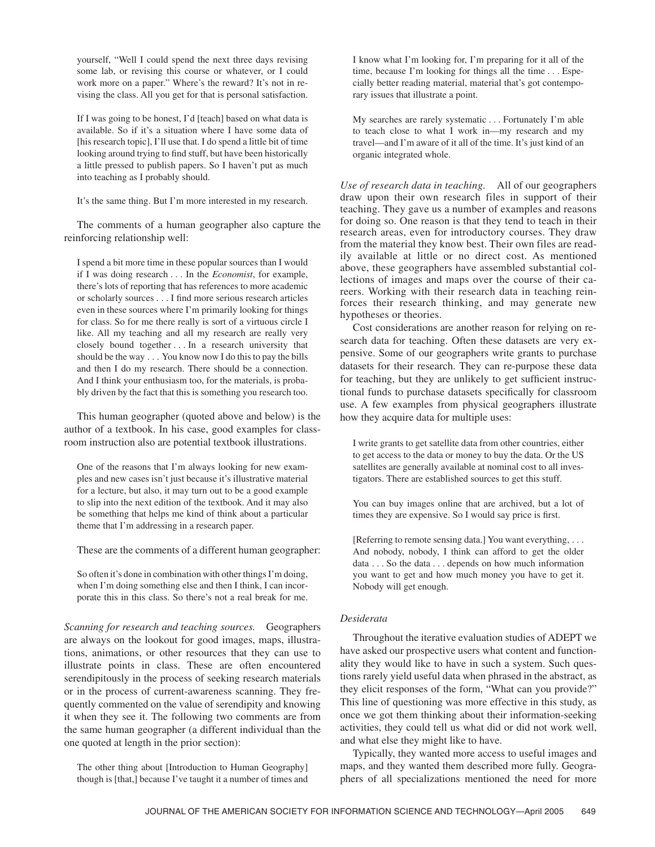yourself, "Well I could spend the next three days revising some lab, or revising this course or whatever, or I could work more on a paper." Where's the reward? It's not in revising the class. All you get for that is personal satisfaction.

If I was going to be honest, I'd [teach] based on what data is available. So if it's a situation where I have some data of [his research topic], I'll use that. I do spend a little bit of time looking around trying to find stuff, but have been historically a little pressed to publish papers. So I haven't put as much into teaching as I probably should.

It's the same thing. But I'm more interested in my research.

The comments of a human geographer also capture the reinforcing relationship well:

I spend a bit more time in these popular sources than I would if I was doing research . . . In the *Economist*, for example, there's lots of reporting that has references to more academic or scholarly sources . . . I find more serious research articles even in these sources where I'm primarily looking for things for class. So for me there really is sort of a virtuous circle I like. All my teaching and all my research are really very closely bound together . . . In a research university that should be the way . . . You know now I do this to pay the bills and then I do my research. There should be a connection. And I think your enthusiasm too, for the materials, is probably driven by the fact that this is something you research too.

This human geographer (quoted above and below) is the author of a textbook. In his case, good examples for classroom instruction also are potential textbook illustrations.

One of the reasons that I'm always looking for new examples and new cases isn't just because it's illustrative material for a lecture, but also, it may turn out to be a good example to slip into the next edition of the textbook. And it may also be something that helps me kind of think about a particular theme that I'm addressing in a research paper.

These are the comments of a different human geographer:

So often it's done in combination with other things I'm doing, when I'm doing something else and then I think, I can incorporate this in this class. So there's not a real break for me.

*Scanning for research and teaching sources.* Geographers are always on the lookout for good images, maps, illustrations, animations, or other resources that they can use to illustrate points in class. These are often encountered serendipitously in the process of seeking research materials or in the process of current-awareness scanning. They frequently commented on the value of serendipity and knowing it when they see it. The following two comments are from the same human geographer (a different individual than the one quoted at length in the prior section):

The other thing about [Introduction to Human Geography] though is [that,] because I've taught it a number of times and I know what I'm looking for, I'm preparing for it all of the time, because I'm looking for things all the time... Especially better reading material, material that's got contemporary issues that illustrate a point.

My searches are rarely systematic... Fortunately I'm able to teach close to what I work in—my research and my travel—and I'm aware of it all of the time. It's just kind of an organic integrated whole.

*Use of research data in teaching.* All of our geographers draw upon their own research files in support of their teaching. They gave us a number of examples and reasons for doing so. One reason is that they tend to teach in their research areas, even for introductory courses. They draw from the material they know best. Their own files are readily available at little or no direct cost. As mentioned above, these geographers have assembled substantial collections of images and maps over the course of their careers. Working with their research data in teaching reinforces their research thinking, and may generate new hypotheses or theories.

Cost considerations are another reason for relying on research data for teaching. Often these datasets are very expensive. Some of our geographers write grants to purchase datasets for their research. They can re-purpose these data for teaching, but they are unlikely to get sufficient instructional funds to purchase datasets specifically for classroom use. A few examples from physical geographers illustrate how they acquire data for multiple uses:

I write grants to get satellite data from other countries, either to get access to the data or money to buy the data. Or the US satellites are generally available at nominal cost to all investigators. There are established sources to get this stuff.

You can buy images online that are archived, but a lot of times they are expensive. So I would say price is first.

[Referring to remote sensing data.] You want everything,... And nobody, nobody, I think can afford to get the older data . . . So the data . . . depends on how much information you want to get and how much money you have to get it. Nobody will get enough.

## *Desiderata*

Throughout the iterative evaluation studies of ADEPT we have asked our prospective users what content and functionality they would like to have in such a system. Such questions rarely yield useful data when phrased in the abstract, as they elicit responses of the form, "What can you provide?" This line of questioning was more effective in this study, as once we got them thinking about their information-seeking activities, they could tell us what did or did not work well, and what else they might like to have.

Typically, they wanted more access to useful images and maps, and they wanted them described more fully. Geographers of all specializations mentioned the need for more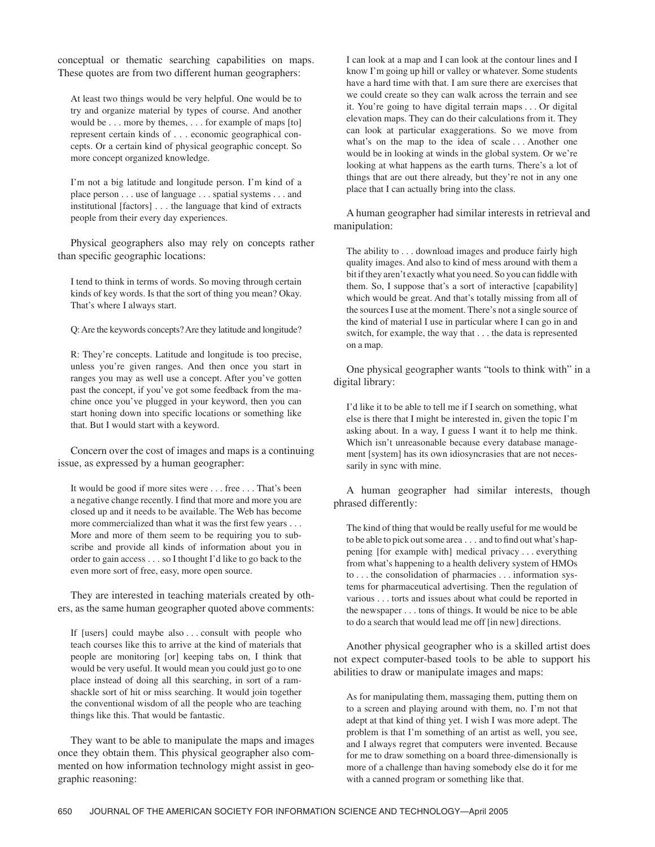conceptual or thematic searching capabilities on maps. These quotes are from two different human geographers:

At least two things would be very helpful. One would be to try and organize material by types of course. And another would be . . . more by themes, . . . for example of maps [to] represent certain kinds of . . . economic geographical concepts. Or a certain kind of physical geographic concept. So more concept organized knowledge.

I'm not a big latitude and longitude person. I'm kind of a place person . . . use of language . . . spatial systems . . . and institutional [factors] . . . the language that kind of extracts people from their every day experiences.

Physical geographers also may rely on concepts rather than specific geographic locations:

I tend to think in terms of words. So moving through certain kinds of key words. Is that the sort of thing you mean? Okay. That's where I always start.

Q: Are the keywords concepts? Are they latitude and longitude?

R: They're concepts. Latitude and longitude is too precise, unless you're given ranges. And then once you start in ranges you may as well use a concept. After you've gotten past the concept, if you've got some feedback from the machine once you've plugged in your keyword, then you can start honing down into specific locations or something like that. But I would start with a keyword.

Concern over the cost of images and maps is a continuing issue, as expressed by a human geographer:

It would be good if more sites were . . . free . . . That's been a negative change recently. I find that more and more you are closed up and it needs to be available. The Web has become more commercialized than what it was the first few years... More and more of them seem to be requiring you to subscribe and provide all kinds of information about you in order to gain access . . . so I thought I'd like to go back to the even more sort of free, easy, more open source.

They are interested in teaching materials created by others, as the same human geographer quoted above comments:

If [users] could maybe also... consult with people who teach courses like this to arrive at the kind of materials that people are monitoring [or] keeping tabs on, I think that would be very useful. It would mean you could just go to one place instead of doing all this searching, in sort of a ramshackle sort of hit or miss searching. It would join together the conventional wisdom of all the people who are teaching things like this. That would be fantastic.

They want to be able to manipulate the maps and images once they obtain them. This physical geographer also commented on how information technology might assist in geographic reasoning:

I can look at a map and I can look at the contour lines and I know I'm going up hill or valley or whatever. Some students have a hard time with that. I am sure there are exercises that we could create so they can walk across the terrain and see it. You're going to have digital terrain maps . . . Or digital elevation maps. They can do their calculations from it. They can look at particular exaggerations. So we move from what's on the map to the idea of scale... Another one would be in looking at winds in the global system. Or we're looking at what happens as the earth turns. There's a lot of things that are out there already, but they're not in any one place that I can actually bring into the class.

A human geographer had similar interests in retrieval and manipulation:

The ability to... download images and produce fairly high quality images. And also to kind of mess around with them a bit if they aren't exactly what you need. So you can fiddle with them. So, I suppose that's a sort of interactive [capability] which would be great. And that's totally missing from all of the sources I use at the moment. There's not a single source of the kind of material I use in particular where I can go in and switch, for example, the way that . . . the data is represented on a map.

One physical geographer wants "tools to think with" in a digital library:

I'd like it to be able to tell me if I search on something, what else is there that I might be interested in, given the topic I'm asking about. In a way, I guess I want it to help me think. Which isn't unreasonable because every database management [system] has its own idiosyncrasies that are not necessarily in sync with mine.

A human geographer had similar interests, though phrased differently:

The kind of thing that would be really useful for me would be to be able to pick out some area . . . and to find out what's happening [for example with] medical privacy... everything from what's happening to a health delivery system of HMOs to . . . the consolidation of pharmacies... information systems for pharmaceutical advertising. Then the regulation of various... torts and issues about what could be reported in the newspaper... tons of things. It would be nice to be able to do a search that would lead me off [in new] directions.

Another physical geographer who is a skilled artist does not expect computer-based tools to be able to support his abilities to draw or manipulate images and maps:

As for manipulating them, massaging them, putting them on to a screen and playing around with them, no. I'm not that adept at that kind of thing yet. I wish I was more adept. The problem is that I'm something of an artist as well, you see, and I always regret that computers were invented. Because for me to draw something on a board three-dimensionally is more of a challenge than having somebody else do it for me with a canned program or something like that.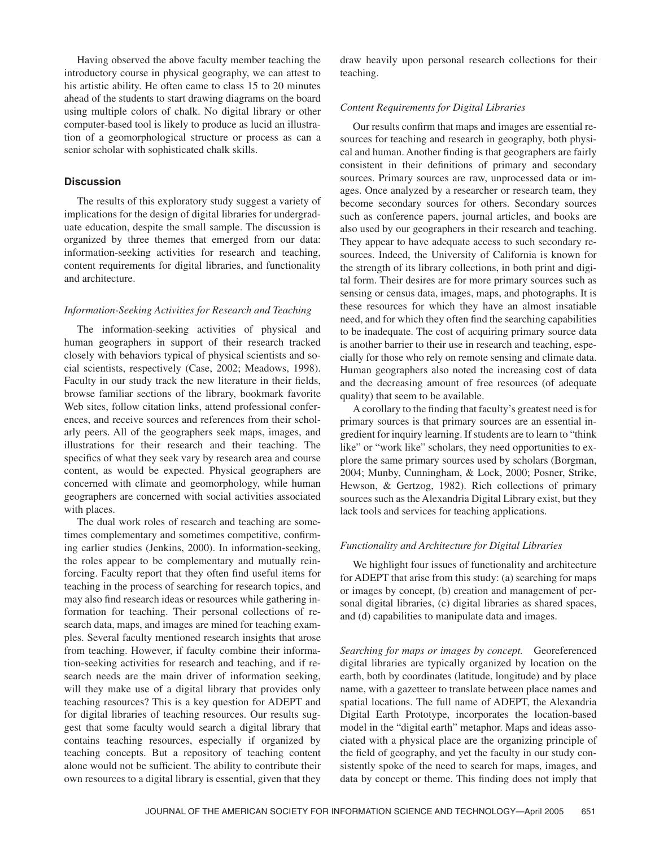Having observed the above faculty member teaching the introductory course in physical geography, we can attest to his artistic ability. He often came to class 15 to 20 minutes ahead of the students to start drawing diagrams on the board using multiple colors of chalk. No digital library or other computer-based tool is likely to produce as lucid an illustration of a geomorphological structure or process as can a senior scholar with sophisticated chalk skills.

## **Discussion**

The results of this exploratory study suggest a variety of implications for the design of digital libraries for undergraduate education, despite the small sample. The discussion is organized by three themes that emerged from our data: information-seeking activities for research and teaching, content requirements for digital libraries, and functionality and architecture.

## *Information-Seeking Activities for Research and Teaching*

The information-seeking activities of physical and human geographers in support of their research tracked closely with behaviors typical of physical scientists and social scientists, respectively (Case, 2002; Meadows, 1998). Faculty in our study track the new literature in their fields, browse familiar sections of the library, bookmark favorite Web sites, follow citation links, attend professional conferences, and receive sources and references from their scholarly peers. All of the geographers seek maps, images, and illustrations for their research and their teaching. The specifics of what they seek vary by research area and course content, as would be expected. Physical geographers are concerned with climate and geomorphology, while human geographers are concerned with social activities associated with places.

The dual work roles of research and teaching are sometimes complementary and sometimes competitive, confirming earlier studies (Jenkins, 2000). In information-seeking, the roles appear to be complementary and mutually reinforcing. Faculty report that they often find useful items for teaching in the process of searching for research topics, and may also find research ideas or resources while gathering information for teaching. Their personal collections of research data, maps, and images are mined for teaching examples. Several faculty mentioned research insights that arose from teaching. However, if faculty combine their information-seeking activities for research and teaching, and if research needs are the main driver of information seeking, will they make use of a digital library that provides only teaching resources? This is a key question for ADEPT and for digital libraries of teaching resources. Our results suggest that some faculty would search a digital library that contains teaching resources, especially if organized by teaching concepts. But a repository of teaching content alone would not be sufficient. The ability to contribute their own resources to a digital library is essential, given that they

draw heavily upon personal research collections for their teaching.

## *Content Requirements for Digital Libraries*

Our results confirm that maps and images are essential resources for teaching and research in geography, both physical and human. Another finding is that geographers are fairly consistent in their definitions of primary and secondary sources. Primary sources are raw, unprocessed data or images. Once analyzed by a researcher or research team, they become secondary sources for others. Secondary sources such as conference papers, journal articles, and books are also used by our geographers in their research and teaching. They appear to have adequate access to such secondary resources. Indeed, the University of California is known for the strength of its library collections, in both print and digital form. Their desires are for more primary sources such as sensing or census data, images, maps, and photographs. It is these resources for which they have an almost insatiable need, and for which they often find the searching capabilities to be inadequate. The cost of acquiring primary source data is another barrier to their use in research and teaching, especially for those who rely on remote sensing and climate data. Human geographers also noted the increasing cost of data and the decreasing amount of free resources (of adequate quality) that seem to be available.

A corollary to the finding that faculty's greatest need is for primary sources is that primary sources are an essential ingredient for inquiry learning. If students are to learn to "think like" or "work like" scholars, they need opportunities to explore the same primary sources used by scholars (Borgman, 2004; Munby, Cunningham, & Lock, 2000; Posner, Strike, Hewson, & Gertzog, 1982). Rich collections of primary sources such as the Alexandria Digital Library exist, but they lack tools and services for teaching applications.

## *Functionality and Architecture for Digital Libraries*

We highlight four issues of functionality and architecture for ADEPT that arise from this study: (a) searching for maps or images by concept, (b) creation and management of personal digital libraries, (c) digital libraries as shared spaces, and (d) capabilities to manipulate data and images.

*Searching for maps or images by concept.* Georeferenced digital libraries are typically organized by location on the earth, both by coordinates (latitude, longitude) and by place name, with a gazetteer to translate between place names and spatial locations. The full name of ADEPT, the Alexandria Digital Earth Prototype, incorporates the location-based model in the "digital earth" metaphor. Maps and ideas associated with a physical place are the organizing principle of the field of geography, and yet the faculty in our study consistently spoke of the need to search for maps, images, and data by concept or theme. This finding does not imply that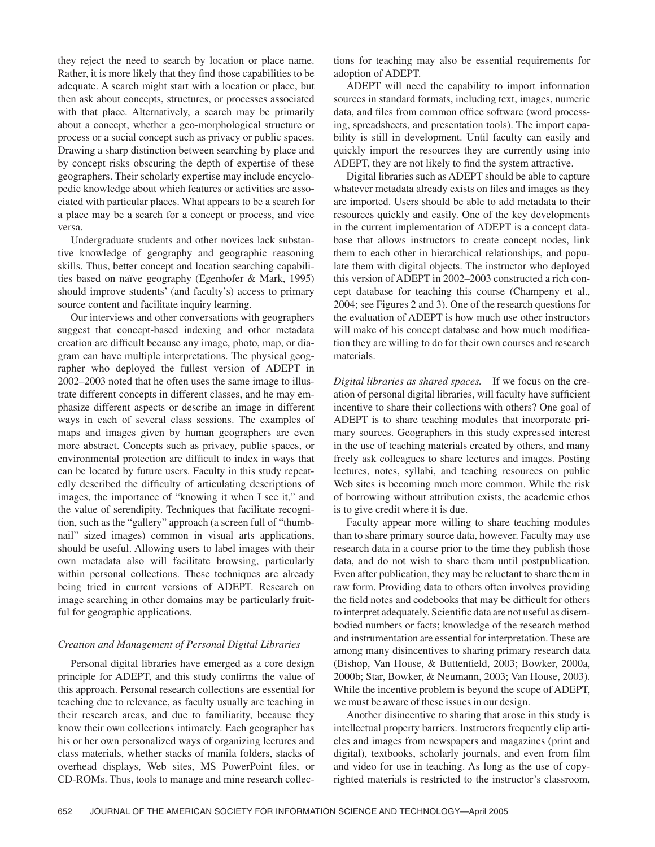they reject the need to search by location or place name. Rather, it is more likely that they find those capabilities to be adequate. A search might start with a location or place, but then ask about concepts, structures, or processes associated with that place. Alternatively, a search may be primarily about a concept, whether a geo-morphological structure or process or a social concept such as privacy or public spaces. Drawing a sharp distinction between searching by place and by concept risks obscuring the depth of expertise of these geographers. Their scholarly expertise may include encyclopedic knowledge about which features or activities are associated with particular places. What appears to be a search for a place may be a search for a concept or process, and vice versa.

Undergraduate students and other novices lack substantive knowledge of geography and geographic reasoning skills. Thus, better concept and location searching capabilities based on naïve geography (Egenhofer & Mark, 1995) should improve students' (and faculty's) access to primary source content and facilitate inquiry learning.

Our interviews and other conversations with geographers suggest that concept-based indexing and other metadata creation are difficult because any image, photo, map, or diagram can have multiple interpretations. The physical geographer who deployed the fullest version of ADEPT in 2002–2003 noted that he often uses the same image to illustrate different concepts in different classes, and he may emphasize different aspects or describe an image in different ways in each of several class sessions. The examples of maps and images given by human geographers are even more abstract. Concepts such as privacy, public spaces, or environmental protection are difficult to index in ways that can be located by future users. Faculty in this study repeatedly described the difficulty of articulating descriptions of images, the importance of "knowing it when I see it," and the value of serendipity. Techniques that facilitate recognition, such as the "gallery" approach (a screen full of "thumbnail" sized images) common in visual arts applications, should be useful. Allowing users to label images with their own metadata also will facilitate browsing, particularly within personal collections. These techniques are already being tried in current versions of ADEPT. Research on image searching in other domains may be particularly fruitful for geographic applications.

#### *Creation and Management of Personal Digital Libraries*

Personal digital libraries have emerged as a core design principle for ADEPT, and this study confirms the value of this approach. Personal research collections are essential for teaching due to relevance, as faculty usually are teaching in their research areas, and due to familiarity, because they know their own collections intimately. Each geographer has his or her own personalized ways of organizing lectures and class materials, whether stacks of manila folders, stacks of overhead displays, Web sites, MS PowerPoint files, or CD-ROMs. Thus, tools to manage and mine research collections for teaching may also be essential requirements for adoption of ADEPT.

ADEPT will need the capability to import information sources in standard formats, including text, images, numeric data, and files from common office software (word processing, spreadsheets, and presentation tools). The import capability is still in development. Until faculty can easily and quickly import the resources they are currently using into ADEPT, they are not likely to find the system attractive.

Digital libraries such as ADEPT should be able to capture whatever metadata already exists on files and images as they are imported. Users should be able to add metadata to their resources quickly and easily. One of the key developments in the current implementation of ADEPT is a concept database that allows instructors to create concept nodes, link them to each other in hierarchical relationships, and populate them with digital objects. The instructor who deployed this version of ADEPT in 2002–2003 constructed a rich concept database for teaching this course (Champeny et al., 2004; see Figures 2 and 3). One of the research questions for the evaluation of ADEPT is how much use other instructors will make of his concept database and how much modification they are willing to do for their own courses and research materials.

*Digital libraries as shared spaces.* If we focus on the creation of personal digital libraries, will faculty have sufficient incentive to share their collections with others? One goal of ADEPT is to share teaching modules that incorporate primary sources. Geographers in this study expressed interest in the use of teaching materials created by others, and many freely ask colleagues to share lectures and images. Posting lectures, notes, syllabi, and teaching resources on public Web sites is becoming much more common. While the risk of borrowing without attribution exists, the academic ethos is to give credit where it is due.

Faculty appear more willing to share teaching modules than to share primary source data, however. Faculty may use research data in a course prior to the time they publish those data, and do not wish to share them until postpublication. Even after publication, they may be reluctant to share them in raw form. Providing data to others often involves providing the field notes and codebooks that may be difficult for others to interpret adequately. Scientific data are not useful as disembodied numbers or facts; knowledge of the research method and instrumentation are essential for interpretation. These are among many disincentives to sharing primary research data (Bishop, Van House, & Buttenfield, 2003; Bowker, 2000a, 2000b; Star, Bowker, & Neumann, 2003; Van House, 2003). While the incentive problem is beyond the scope of ADEPT, we must be aware of these issues in our design.

Another disincentive to sharing that arose in this study is intellectual property barriers. Instructors frequently clip articles and images from newspapers and magazines (print and digital), textbooks, scholarly journals, and even from film and video for use in teaching. As long as the use of copyrighted materials is restricted to the instructor's classroom,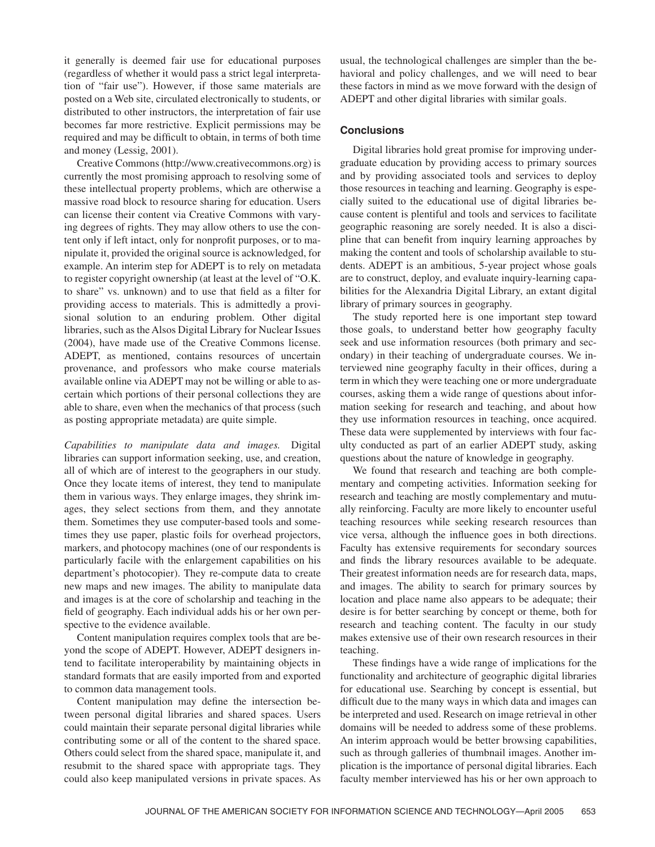it generally is deemed fair use for educational purposes (regardless of whether it would pass a strict legal interpretation of "fair use"). However, if those same materials are posted on a Web site, circulated electronically to students, or distributed to other instructors, the interpretation of fair use becomes far more restrictive. Explicit permissions may be required and may be difficult to obtain, in terms of both time and money (Lessig, 2001).

Creative Commons (http://www.creativecommons.org) is currently the most promising approach to resolving some of these intellectual property problems, which are otherwise a massive road block to resource sharing for education. Users can license their content via Creative Commons with varying degrees of rights. They may allow others to use the content only if left intact, only for nonprofit purposes, or to manipulate it, provided the original source is acknowledged, for example. An interim step for ADEPT is to rely on metadata to register copyright ownership (at least at the level of "O.K. to share" vs. unknown) and to use that field as a filter for providing access to materials. This is admittedly a provisional solution to an enduring problem. Other digital libraries, such as the Alsos Digital Library for Nuclear Issues (2004), have made use of the Creative Commons license. ADEPT, as mentioned, contains resources of uncertain provenance, and professors who make course materials available online via ADEPT may not be willing or able to ascertain which portions of their personal collections they are able to share, even when the mechanics of that process (such as posting appropriate metadata) are quite simple.

*Capabilities to manipulate data and images.* Digital libraries can support information seeking, use, and creation, all of which are of interest to the geographers in our study. Once they locate items of interest, they tend to manipulate them in various ways. They enlarge images, they shrink images, they select sections from them, and they annotate them. Sometimes they use computer-based tools and sometimes they use paper, plastic foils for overhead projectors, markers, and photocopy machines (one of our respondents is particularly facile with the enlargement capabilities on his department's photocopier). They re-compute data to create new maps and new images. The ability to manipulate data and images is at the core of scholarship and teaching in the field of geography. Each individual adds his or her own perspective to the evidence available.

Content manipulation requires complex tools that are beyond the scope of ADEPT. However, ADEPT designers intend to facilitate interoperability by maintaining objects in standard formats that are easily imported from and exported to common data management tools.

Content manipulation may define the intersection between personal digital libraries and shared spaces. Users could maintain their separate personal digital libraries while contributing some or all of the content to the shared space. Others could select from the shared space, manipulate it, and resubmit to the shared space with appropriate tags. They could also keep manipulated versions in private spaces. As usual, the technological challenges are simpler than the behavioral and policy challenges, and we will need to bear these factors in mind as we move forward with the design of ADEPT and other digital libraries with similar goals.

## **Conclusions**

Digital libraries hold great promise for improving undergraduate education by providing access to primary sources and by providing associated tools and services to deploy those resources in teaching and learning. Geography is especially suited to the educational use of digital libraries because content is plentiful and tools and services to facilitate geographic reasoning are sorely needed. It is also a discipline that can benefit from inquiry learning approaches by making the content and tools of scholarship available to students. ADEPT is an ambitious, 5-year project whose goals are to construct, deploy, and evaluate inquiry-learning capabilities for the Alexandria Digital Library, an extant digital library of primary sources in geography.

The study reported here is one important step toward those goals, to understand better how geography faculty seek and use information resources (both primary and secondary) in their teaching of undergraduate courses. We interviewed nine geography faculty in their offices, during a term in which they were teaching one or more undergraduate courses, asking them a wide range of questions about information seeking for research and teaching, and about how they use information resources in teaching, once acquired. These data were supplemented by interviews with four faculty conducted as part of an earlier ADEPT study, asking questions about the nature of knowledge in geography.

We found that research and teaching are both complementary and competing activities. Information seeking for research and teaching are mostly complementary and mutually reinforcing. Faculty are more likely to encounter useful teaching resources while seeking research resources than vice versa, although the influence goes in both directions. Faculty has extensive requirements for secondary sources and finds the library resources available to be adequate. Their greatest information needs are for research data, maps, and images. The ability to search for primary sources by location and place name also appears to be adequate; their desire is for better searching by concept or theme, both for research and teaching content. The faculty in our study makes extensive use of their own research resources in their teaching.

These findings have a wide range of implications for the functionality and architecture of geographic digital libraries for educational use. Searching by concept is essential, but difficult due to the many ways in which data and images can be interpreted and used. Research on image retrieval in other domains will be needed to address some of these problems. An interim approach would be better browsing capabilities, such as through galleries of thumbnail images. Another implication is the importance of personal digital libraries. Each faculty member interviewed has his or her own approach to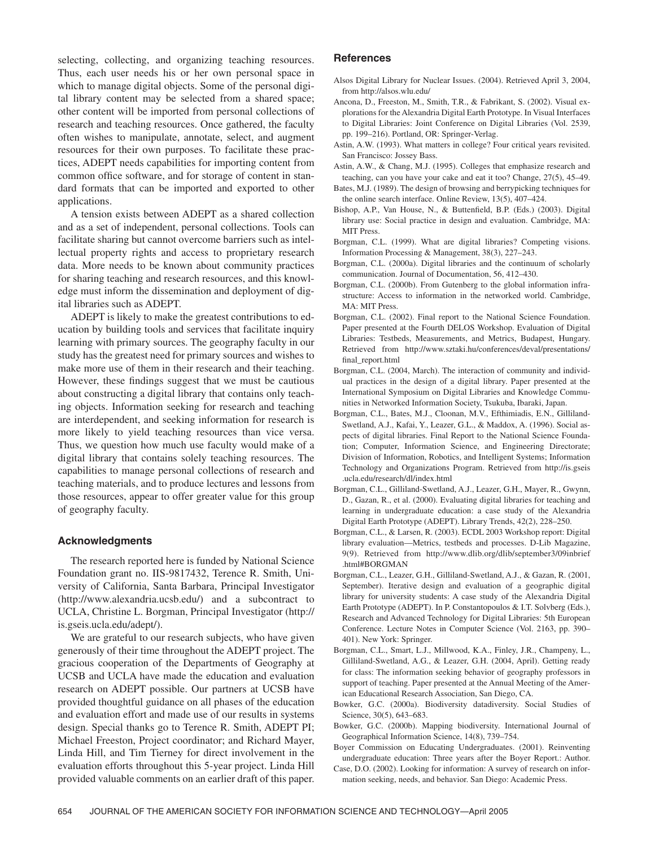selecting, collecting, and organizing teaching resources. Thus, each user needs his or her own personal space in which to manage digital objects. Some of the personal digital library content may be selected from a shared space; other content will be imported from personal collections of research and teaching resources. Once gathered, the faculty often wishes to manipulate, annotate, select, and augment resources for their own purposes. To facilitate these practices, ADEPT needs capabilities for importing content from common office software, and for storage of content in standard formats that can be imported and exported to other applications.

A tension exists between ADEPT as a shared collection and as a set of independent, personal collections. Tools can facilitate sharing but cannot overcome barriers such as intellectual property rights and access to proprietary research data. More needs to be known about community practices for sharing teaching and research resources, and this knowledge must inform the dissemination and deployment of digital libraries such as ADEPT.

ADEPT is likely to make the greatest contributions to education by building tools and services that facilitate inquiry learning with primary sources. The geography faculty in our study has the greatest need for primary sources and wishes to make more use of them in their research and their teaching. However, these findings suggest that we must be cautious about constructing a digital library that contains only teaching objects. Information seeking for research and teaching are interdependent, and seeking information for research is more likely to yield teaching resources than vice versa. Thus, we question how much use faculty would make of a digital library that contains solely teaching resources. The capabilities to manage personal collections of research and teaching materials, and to produce lectures and lessons from those resources, appear to offer greater value for this group of geography faculty.

#### **Acknowledgments**

The research reported here is funded by National Science Foundation grant no. IIS-9817432, Terence R. Smith, University of California, Santa Barbara, Principal Investigator (http://www.alexandria.ucsb.edu/) and a subcontract to UCLA, Christine L. Borgman, Principal Investigator (http:// is.gseis.ucla.edu/adept/).

We are grateful to our research subjects, who have given generously of their time throughout the ADEPT project. The gracious cooperation of the Departments of Geography at UCSB and UCLA have made the education and evaluation research on ADEPT possible. Our partners at UCSB have provided thoughtful guidance on all phases of the education and evaluation effort and made use of our results in systems design. Special thanks go to Terence R. Smith, ADEPT PI; Michael Freeston, Project coordinator; and Richard Mayer, Linda Hill, and Tim Tierney for direct involvement in the evaluation efforts throughout this 5-year project. Linda Hill provided valuable comments on an earlier draft of this paper.

#### **References**

- Alsos Digital Library for Nuclear Issues. (2004). Retrieved April 3, 2004, from http://alsos.wlu.edu/
- Ancona, D., Freeston, M., Smith, T.R., & Fabrikant, S. (2002). Visual explorations for the Alexandria Digital Earth Prototype. In Visual Interfaces to Digital Libraries: Joint Conference on Digital Libraries (Vol. 2539, pp. 199–216). Portland, OR: Springer-Verlag.
- Astin, A.W. (1993). What matters in college? Four critical years revisited. San Francisco: Jossey Bass.
- Astin, A.W., & Chang, M.J. (1995). Colleges that emphasize research and teaching, can you have your cake and eat it too? Change, 27(5), 45–49.
- Bates, M.J. (1989). The design of browsing and berrypicking techniques for the online search interface. Online Review, 13(5), 407–424.
- Bishop, A.P., Van House, N., & Buttenfield, B.P. (Eds.) (2003). Digital library use: Social practice in design and evaluation. Cambridge, MA: MIT Press.
- Borgman, C.L. (1999). What are digital libraries? Competing visions. Information Processing & Management, 38(3), 227–243.
- Borgman, C.L. (2000a). Digital libraries and the continuum of scholarly communication. Journal of Documentation, 56, 412–430.
- Borgman, C.L. (2000b). From Gutenberg to the global information infrastructure: Access to information in the networked world. Cambridge, MA: MIT Press.
- Borgman, C.L. (2002). Final report to the National Science Foundation. Paper presented at the Fourth DELOS Workshop. Evaluation of Digital Libraries: Testbeds, Measurements, and Metrics, Budapest, Hungary. Retrieved from http://www.sztaki.hu/conferences/deval/presentations/ final\_report.html
- Borgman, C.L. (2004, March). The interaction of community and individual practices in the design of a digital library. Paper presented at the International Symposium on Digital Libraries and Knowledge Communities in Networked Information Society, Tsukuba, Ibaraki, Japan.
- Borgman, C.L., Bates, M.J., Cloonan, M.V., Efthimiadis, E.N., Gilliland-Swetland, A.J., Kafai, Y., Leazer, G.L., & Maddox, A. (1996). Social aspects of digital libraries. Final Report to the National Science Foundation; Computer, Information Science, and Engineering Directorate; Division of Information, Robotics, and Intelligent Systems; Information Technology and Organizations Program. Retrieved from http://is.gseis .ucla.edu/research/dl/index.html
- Borgman, C.L., Gilliland-Swetland, A.J., Leazer, G.H., Mayer, R., Gwynn, D., Gazan, R., et al. (2000). Evaluating digital libraries for teaching and learning in undergraduate education: a case study of the Alexandria Digital Earth Prototype (ADEPT). Library Trends, 42(2), 228–250.
- Borgman, C.L., & Larsen, R. (2003). ECDL 2003 Workshop report: Digital library evaluation—Metrics, testbeds and processes. D-Lib Magazine, 9(9). Retrieved from http://www.dlib.org/dlib/september3/09inbrief .html#BORGMAN
- Borgman, C.L., Leazer, G.H., Gilliland-Swetland, A.J., & Gazan, R. (2001, September). Iterative design and evaluation of a geographic digital library for university students: A case study of the Alexandria Digital Earth Prototype (ADEPT). In P. Constantopoulos & I.T. Solvberg (Eds.), Research and Advanced Technology for Digital Libraries: 5th European Conference. Lecture Notes in Computer Science (Vol. 2163, pp. 390– 401). New York: Springer.
- Borgman, C.L., Smart, L.J., Millwood, K.A., Finley, J.R., Champeny, L., Gilliland-Swetland, A.G., & Leazer, G.H. (2004, April). Getting ready for class: The information seeking behavior of geography professors in support of teaching. Paper presented at the Annual Meeting of the American Educational Research Association, San Diego, CA.
- Bowker, G.C. (2000a). Biodiversity datadiversity. Social Studies of Science, 30(5), 643–683.
- Bowker, G.C. (2000b). Mapping biodiversity. International Journal of Geographical Information Science, 14(8), 739–754.

Case, D.O. (2002). Looking for information: A survey of research on information seeking, needs, and behavior. San Diego: Academic Press.

Boyer Commission on Educating Undergraduates. (2001). Reinventing undergraduate education: Three years after the Boyer Report.: Author.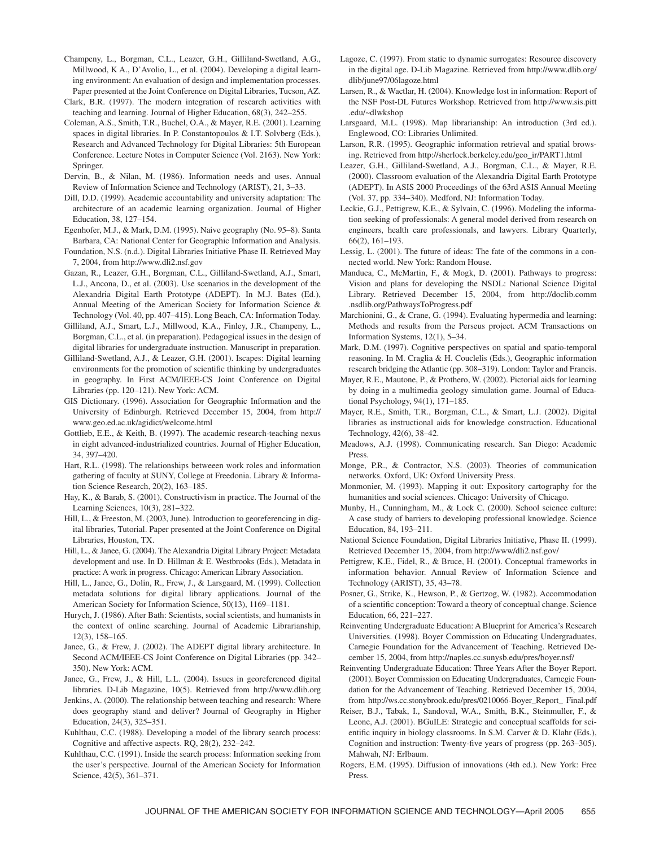Champeny, L., Borgman, C.L., Leazer, G.H., Gilliland-Swetland, A.G., Millwood, K A., D'Avolio, L., et al. (2004). Developing a digital learning environment: An evaluation of design and implementation processes. Paper presented at the Joint Conference on Digital Libraries, Tucson, AZ.

Clark, B.R. (1997). The modern integration of research activities with teaching and learning. Journal of Higher Education, 68(3), 242–255.

Coleman, A.S., Smith, T.R., Buchel, O.A., & Mayer, R.E. (2001). Learning spaces in digital libraries. In P. Constantopoulos & I.T. Solvberg (Eds.), Research and Advanced Technology for Digital Libraries: 5th European Conference. Lecture Notes in Computer Science (Vol. 2163). New York: Springer.

- Dervin, B., & Nilan, M. (1986). Information needs and uses. Annual Review of Information Science and Technology (ARIST), 21, 3–33.
- Dill, D.D. (1999). Academic accountability and university adaptation: The architecture of an academic learning organization. Journal of Higher Education, 38, 127–154.
- Egenhofer, M.J., & Mark, D.M. (1995). Naive geography (No. 95–8). Santa Barbara, CA: National Center for Geographic Information and Analysis.
- Foundation, N.S. (n.d.). Digital Libraries Initiative Phase II. Retrieved May 7, 2004, from http://www.dli2.nsf.gov
- Gazan, R., Leazer, G.H., Borgman, C.L., Gilliland-Swetland, A.J., Smart, L.J., Ancona, D., et al. (2003). Use scenarios in the development of the Alexandria Digital Earth Prototype (ADEPT). In M.J. Bates (Ed.), Annual Meeting of the American Society for Information Science & Technology (Vol. 40, pp. 407–415). Long Beach, CA: Information Today.

Gilliland, A.J., Smart, L.J., Millwood, K.A., Finley, J.R., Champeny, L., Borgman, C.L., et al. (in preparation). Pedagogical issues in the design of digital libraries for undergraduate instruction. Manuscript in preparation.

Gilliland-Swetland, A.J., & Leazer, G.H. (2001). Iscapes: Digital learning environments for the promotion of scientific thinking by undergraduates in geography. In First ACM/IEEE-CS Joint Conference on Digital Libraries (pp. 120–121). New York: ACM.

GIS Dictionary. (1996). Association for Geographic Information and the University of Edinburgh. Retrieved December 15, 2004, from http:// www.geo.ed.ac.uk/agidict/welcome.html

- Gottlieb, E.E., & Keith, B. (1997). The academic research-teaching nexus in eight advanced-industrialized countries. Journal of Higher Education, 34, 397–420.
- Hart, R.L. (1998). The relationships betweeen work roles and information gathering of faculty at SUNY, College at Freedonia. Library & Information Science Research, 20(2), 163–185.

Hay, K., & Barab, S. (2001). Constructivism in practice. The Journal of the Learning Sciences, 10(3), 281–322.

- Hill, L., & Freeston, M. (2003, June). Introduction to georeferencing in digital libraries, Tutorial. Paper presented at the Joint Conference on Digital Libraries, Houston, TX.
- Hill, L., & Janee, G. (2004). The Alexandria Digital Library Project: Metadata development and use. In D. Hillman & E. Westbrooks (Eds.), Metadata in practice: A work in progress. Chicago: American Library Association.
- Hill, L., Janee, G., Dolin, R., Frew, J., & Larsgaard, M. (1999). Collection metadata solutions for digital library applications. Journal of the American Society for Information Science, 50(13), 1169–1181.
- Hurych, J. (1986). After Bath: Scientists, social scientists, and humanists in the context of online searching. Journal of Academic Librarianship, 12(3), 158–165.

Janee, G., & Frew, J. (2002). The ADEPT digital library architecture. In Second ACM/IEEE-CS Joint Conference on Digital Libraries (pp. 342– 350). New York: ACM.

- Janee, G., Frew, J., & Hill, L.L. (2004). Issues in georeferenced digital libraries. D-Lib Magazine, 10(5). Retrieved from http://www.dlib.org
- Jenkins, A. (2000). The relationship between teaching and research: Where does geography stand and deliver? Journal of Geography in Higher Education, 24(3), 325–351.
- Kuhlthau, C.C. (1988). Developing a model of the library search process: Cognitive and affective aspects. RQ, 28(2), 232–242.
- Kuhlthau, C.C. (1991). Inside the search process: Information seeking from the user's perspective. Journal of the American Society for Information Science, 42(5), 361–371.
- Lagoze, C. (1997). From static to dynamic surrogates: Resource discovery in the digital age. D-Lib Magazine. Retrieved from http://www.dlib.org/ dlib/june97/06lagoze.html
- Larsen, R., & Wactlar, H. (2004). Knowledge lost in information: Report of the NSF Post-DL Futures Workshop. Retrieved from http://www.sis.pitt .edu/~dlwkshop
- Larsgaard, M.L. (1998). Map librarianship: An introduction (3rd ed.). Englewood, CO: Libraries Unlimited.
- Larson, R.R. (1995). Geographic information retrieval and spatial browsing. Retrieved from http://sherlock.berkeley.edu/geo\_ir/PART1.html
- Leazer, G.H., Gilliland-Swetland, A.J., Borgman, C.L., & Mayer, R.E. (2000). Classroom evaluation of the Alexandria Digital Earth Prototype (ADEPT). In ASIS 2000 Proceedings of the 63rd ASIS Annual Meeting (Vol. 37, pp. 334–340). Medford, NJ: Information Today.
- Leckie, G.J., Pettigrew, K.E., & Sylvain, C. (1996). Modeling the information seeking of professionals: A general model derived from research on engineers, health care professionals, and lawyers. Library Quarterly, 66(2), 161–193.
- Lessig, L. (2001). The future of ideas: The fate of the commons in a connected world. New York: Random House.
- Manduca, C., McMartin, F., & Mogk, D. (2001). Pathways to progress: Vision and plans for developing the NSDL: National Science Digital Library. Retrieved December 15, 2004, from http://doclib.comm .nsdlib.org/PathwaysToProgress.pdf
- Marchionini, G., & Crane, G. (1994). Evaluating hypermedia and learning: Methods and results from the Perseus project. ACM Transactions on Information Systems, 12(1), 5–34.
- Mark, D.M. (1997). Cognitive perspectives on spatial and spatio-temporal reasoning. In M. Craglia & H. Couclelis (Eds.), Geographic information research bridging the Atlantic (pp. 308–319). London: Taylor and Francis.
- Mayer, R.E., Mautone, P., & Prothero, W. (2002). Pictorial aids for learning by doing in a multimedia geology simulation game. Journal of Educational Psychology, 94(1), 171–185.
- Mayer, R.E., Smith, T.R., Borgman, C.L., & Smart, L.J. (2002). Digital libraries as instructional aids for knowledge construction. Educational Technology, 42(6), 38–42.
- Meadows, A.J. (1998). Communicating research. San Diego: Academic Press.
- Monge, P.R., & Contractor, N.S. (2003). Theories of communication networks. Oxford, UK: Oxford University Press.
- Monmonier, M. (1993). Mapping it out: Expository cartography for the humanities and social sciences. Chicago: University of Chicago.
- Munby, H., Cunningham, M., & Lock C. (2000). School science culture: A case study of barriers to developing professional knowledge. Science Education, 84, 193–211.
- National Science Foundation, Digital Libraries Initiative, Phase II. (1999). Retrieved December 15, 2004, from http://www/dli2.nsf.gov/
- Pettigrew, K.E., Fidel, R., & Bruce, H. (2001). Conceptual frameworks in information behavior. Annual Review of Information Science and Technology (ARIST), 35, 43–78.
- Posner, G., Strike, K., Hewson, P., & Gertzog, W. (1982). Accommodation of a scientific conception: Toward a theory of conceptual change. Science Education, 66, 221–227.
- Reinventing Undergraduate Education: A Blueprint for America's Research Universities. (1998). Boyer Commission on Educating Undergraduates, Carnegie Foundation for the Advancement of Teaching. Retrieved December 15, 2004, from http://naples.cc.sunysb.edu/pres/boyer.nsf/
- Reinventing Undergraduate Education: Three Years After the Boyer Report. (2001). Boyer Commission on Educating Undergraduates, Carnegie Foundation for the Advancement of Teaching. Retrieved December 15, 2004, from http://ws.cc.stonybrook.edu/pres/0210066-Boyer\_Report\_ Final.pdf
- Reiser, B.J., Tabak, I., Sandoval, W.A., Smith, B.K., Steinmuller, F., & Leone, A.J. (2001). BGuILE: Strategic and conceptual scaffolds for scientific inquiry in biology classrooms. In S.M. Carver & D. Klahr (Eds.), Cognition and instruction: Twenty-five years of progress (pp. 263–305). Mahwah, NJ: Erlbaum.
- Rogers, E.M. (1995). Diffusion of innovations (4th ed.). New York: Free Press.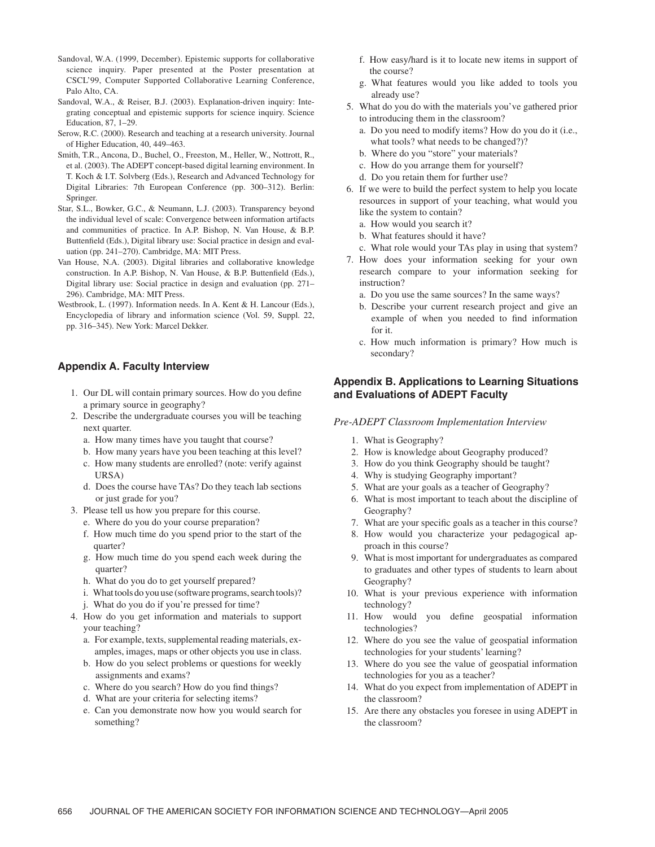- Sandoval, W.A. (1999, December). Epistemic supports for collaborative science inquiry. Paper presented at the Poster presentation at CSCL'99, Computer Supported Collaborative Learning Conference, Palo Alto, CA.
- Sandoval, W.A., & Reiser, B.J. (2003). Explanation-driven inquiry: Integrating conceptual and epistemic supports for science inquiry. Science Education, 87, 1–29.
- Serow, R.C. (2000). Research and teaching at a research university. Journal of Higher Education, 40, 449–463.
- Smith, T.R., Ancona, D., Buchel, O., Freeston, M., Heller, W., Nottrott, R., et al. (2003). The ADEPT concept-based digital learning environment. In T. Koch & I.T. Solvberg (Eds.), Research and Advanced Technology for Digital Libraries: 7th European Conference (pp. 300–312). Berlin: Springer.
- Star, S.L., Bowker, G.C., & Neumann, L.J. (2003). Transparency beyond the individual level of scale: Convergence between information artifacts and communities of practice. In A.P. Bishop, N. Van House, & B.P. Buttenfield (Eds.), Digital library use: Social practice in design and evaluation (pp. 241–270). Cambridge, MA: MIT Press.
- Van House, N.A. (2003). Digital libraries and collaborative knowledge construction. In A.P. Bishop, N. Van House, & B.P. Buttenfield (Eds.), Digital library use: Social practice in design and evaluation (pp. 271– 296). Cambridge, MA: MIT Press.
- Westbrook, L. (1997). Information needs. In A. Kent & H. Lancour (Eds.), Encyclopedia of library and information science (Vol. 59, Suppl. 22, pp. 316–345). New York: Marcel Dekker.

## **Appendix A. Faculty Interview**

- 1. Our DL will contain primary sources. How do you define a primary source in geography?
- 2. Describe the undergraduate courses you will be teaching next quarter.
	- a. How many times have you taught that course?
	- b. How many years have you been teaching at this level?
	- c. How many students are enrolled? (note: verify against  $IIRSA$
	- d. Does the course have TAs? Do they teach lab sections or just grade for you?
- 3. Please tell us how you prepare for this course.
	- e. Where do you do your course preparation?
	- f. How much time do you spend prior to the start of the quarter?
	- g. How much time do you spend each week during the quarter?
	- h. What do you do to get yourself prepared?
	- i. What tools do you use (software programs, search tools)?
	- j. What do you do if you're pressed for time?
- 4. How do you get information and materials to support your teaching?
	- a. For example, texts, supplemental reading materials, examples, images, maps or other objects you use in class.
	- b. How do you select problems or questions for weekly assignments and exams?
	- c. Where do you search? How do you find things?
	- d. What are your criteria for selecting items?
	- e. Can you demonstrate now how you would search for something?
- f. How easy/hard is it to locate new items in support of the course?
- g. What features would you like added to tools you already use?
- 5. What do you do with the materials you've gathered prior to introducing them in the classroom?
	- a. Do you need to modify items? How do you do it (i.e., what tools? what needs to be changed?)?
	- b. Where do you "store" your materials?
	- c. How do you arrange them for yourself?
	- d. Do you retain them for further use?
- 6. If we were to build the perfect system to help you locate resources in support of your teaching, what would you like the system to contain?
	- a. How would you search it?
	- b. What features should it have?
	- c. What role would your TAs play in using that system?
- 7. How does your information seeking for your own research compare to your information seeking for instruction?
	- a. Do you use the same sources? In the same ways?
	- b. Describe your current research project and give an example of when you needed to find information for it.
	- c. How much information is primary? How much is secondary?

## **Appendix B. Applications to Learning Situations and Evaluations of ADEPT Faculty**

#### *Pre-ADEPT Classroom Implementation Interview*

- 1. What is Geography?
- 2. How is knowledge about Geography produced?
- 3. How do you think Geography should be taught?
- 4. Why is studying Geography important?
- 5. What are your goals as a teacher of Geography?
- 6. What is most important to teach about the discipline of Geography?
- 7. What are your specific goals as a teacher in this course?
- 8. How would you characterize your pedagogical approach in this course?
- 9. What is most important for undergraduates as compared to graduates and other types of students to learn about Geography?
- 10. What is your previous experience with information technology?
- 11. How would you define geospatial information technologies?
- 12. Where do you see the value of geospatial information technologies for your students' learning?
- 13. Where do you see the value of geospatial information technologies for you as a teacher?
- 14. What do you expect from implementation of ADEPT in the classroom?
- 15. Are there any obstacles you foresee in using ADEPT in the classroom?